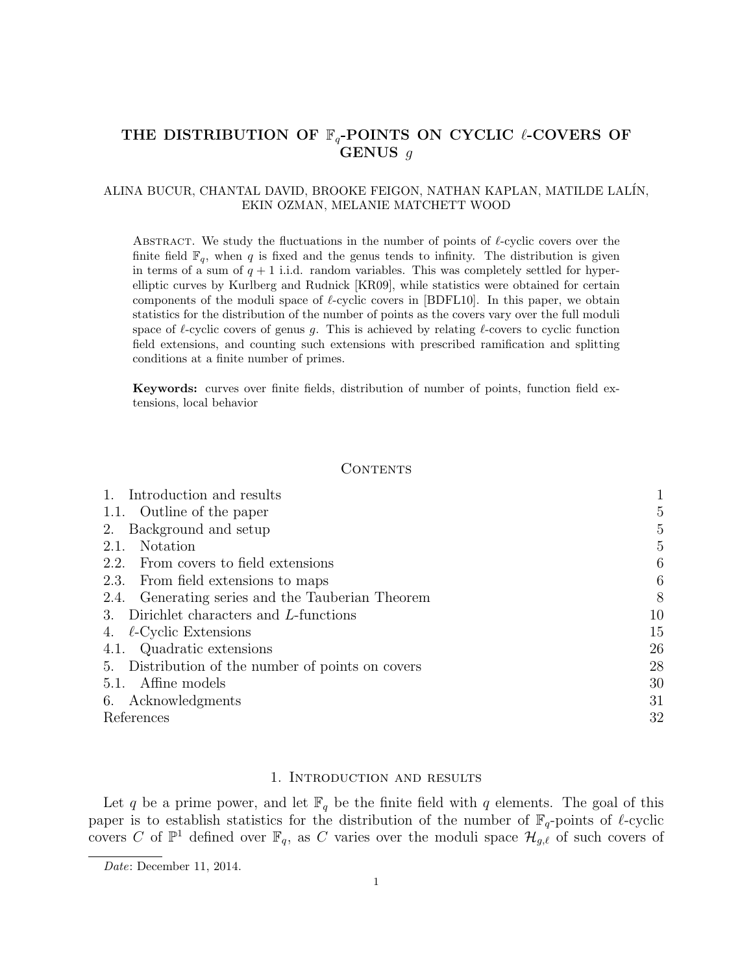# THE DISTRIBUTION OF  $\mathbb{F}_q$ -POINTS ON CYCLIC  $\ell$ -COVERS OF GENUS g

# ALINA BUCUR, CHANTAL DAVID, BROOKE FEIGON, NATHAN KAPLAN, MATILDE LAL´IN, EKIN OZMAN, MELANIE MATCHETT WOOD

ABSTRACT. We study the fluctuations in the number of points of  $\ell$ -cyclic covers over the finite field  $\mathbb{F}_q$ , when q is fixed and the genus tends to infinity. The distribution is given in terms of a sum of  $q + 1$  i.i.d. random variables. This was completely settled for hyperelliptic curves by Kurlberg and Rudnick [KR09], while statistics were obtained for certain components of the moduli space of  $\ell$ -cyclic covers in [BDFL10]. In this paper, we obtain statistics for the distribution of the number of points as the covers vary over the full moduli space of  $\ell$ -cyclic covers of genus g. This is achieved by relating  $\ell$ -covers to cyclic function field extensions, and counting such extensions with prescribed ramification and splitting conditions at a finite number of primes.

Keywords: curves over finite fields, distribution of number of points, function field extensions, local behavior

## CONTENTS

| Introduction and results                          |    |
|---------------------------------------------------|----|
| 1.1. Outline of the paper                         | 5  |
| Background and setup<br>2.                        | 5  |
| Notation<br>2.1.                                  | 5  |
| From covers to field extensions<br>2.2.           | 6  |
| 2.3. From field extensions to maps                | 6  |
| 2.4. Generating series and the Tauberian Theorem  | 8  |
| Dirichlet characters and L-functions<br>3.        | 10 |
| $\ell$ -Cyclic Extensions                         | 15 |
| 4.1. Quadratic extensions                         | 26 |
| 5. Distribution of the number of points on covers | 28 |
| Affine models<br>5.1.                             | 30 |
| 6. Acknowledgments                                | 31 |
| References                                        | 32 |

#### 1. Introduction and results

Let q be a prime power, and let  $\mathbb{F}_q$  be the finite field with q elements. The goal of this paper is to establish statistics for the distribution of the number of  $\mathbb{F}_q$ -points of  $\ell$ -cyclic covers C of  $\mathbb{P}^1$  defined over  $\mathbb{F}_q$ , as C varies over the moduli space  $\mathcal{H}_{g,\ell}$  of such covers of

Date: December 11, 2014.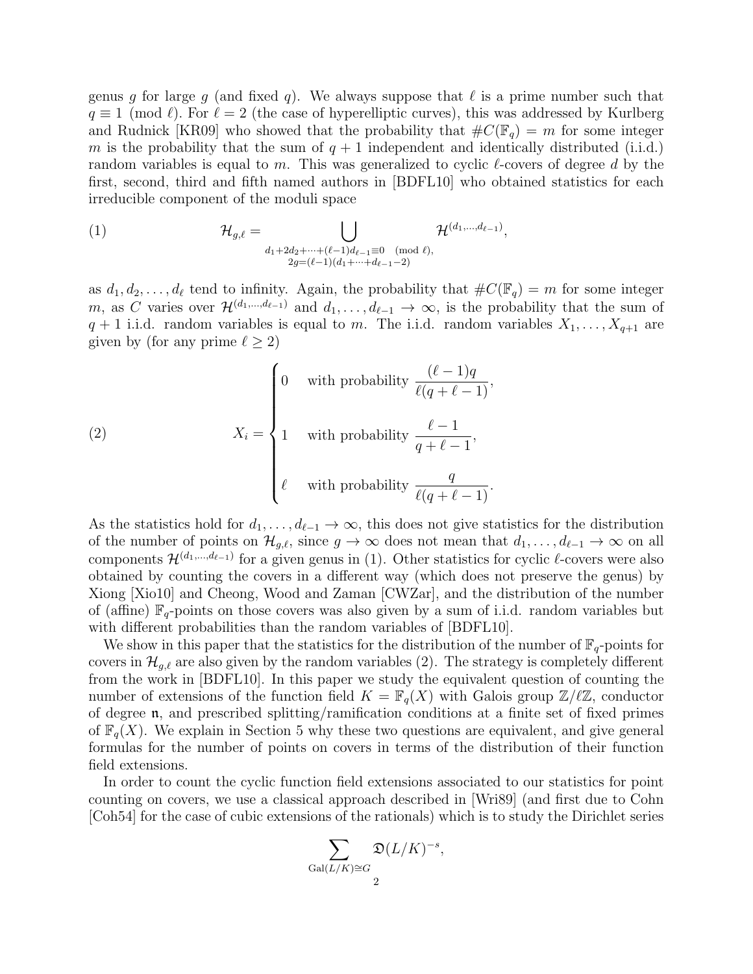genus q for large q (and fixed q). We always suppose that  $\ell$  is a prime number such that  $q \equiv 1 \pmod{\ell}$ . For  $\ell = 2$  (the case of hyperelliptic curves), this was addressed by Kurlberg and Rudnick [KR09] who showed that the probability that  $\#C(\mathbb{F}_q) = m$  for some integer m is the probability that the sum of  $q + 1$  independent and identically distributed (i.i.d.) random variables is equal to m. This was generalized to cyclic  $\ell$ -covers of degree d by the first, second, third and fifth named authors in [BDFL10] who obtained statistics for each irreducible component of the moduli space

(1) 
$$
\mathcal{H}_{g,\ell} = \bigcup_{\substack{d_1+2d_2+\cdots+(\ell-1)d_{\ell-1}\equiv 0 \pmod{\ell},\\2g=(\ell-1)(d_1+\cdots+d_{\ell-1}-2)}} \mathcal{H}^{(d_1,\ldots,d_{\ell-1})},
$$

as  $d_1, d_2, \ldots, d_\ell$  tend to infinity. Again, the probability that  $\#C(\mathbb{F}_q) = m$  for some integer m, as C varies over  $\mathcal{H}^{(d_1,...,d_{\ell-1})}$  and  $d_1,\ldots,d_{\ell-1}\to\infty$ , is the probability that the sum of  $q + 1$  i.i.d. random variables is equal to m. The i.i.d. random variables  $X_1, \ldots, X_{q+1}$  are given by (for any prime  $\ell > 2$ )

(2) 
$$
X_{i} = \begin{cases} 0 & \text{with probability } \frac{(\ell - 1)q}{\ell(q + \ell - 1)}, \\ 1 & \text{with probability } \frac{\ell - 1}{q + \ell - 1}, \\ \ell & \text{with probability } \frac{q}{\ell(q + \ell - 1)}. \end{cases}
$$

As the statistics hold for  $d_1, \ldots, d_{\ell-1} \to \infty$ , this does not give statistics for the distribution of the number of points on  $\mathcal{H}_{g,\ell}$ , since  $g \to \infty$  does not mean that  $d_1, \ldots, d_{\ell-1} \to \infty$  on all components  $\mathcal{H}^{(d_1,\dots,d_{\ell-1})}$  for a given genus in (1). Other statistics for cyclic  $\ell$ -covers were also obtained by counting the covers in a different way (which does not preserve the genus) by Xiong [Xio10] and Cheong, Wood and Zaman [CWZar], and the distribution of the number of (affine)  $\mathbb{F}_q$ -points on those covers was also given by a sum of i.i.d. random variables but with different probabilities than the random variables of [BDFL10].

We show in this paper that the statistics for the distribution of the number of  $\mathbb{F}_q$ -points for covers in  $\mathcal{H}_{q,\ell}$  are also given by the random variables (2). The strategy is completely different from the work in [BDFL10]. In this paper we study the equivalent question of counting the number of extensions of the function field  $K = \mathbb{F}_q(X)$  with Galois group  $\mathbb{Z}/\ell\mathbb{Z}$ , conductor of degree n, and prescribed splitting/ramification conditions at a finite set of fixed primes of  $\mathbb{F}_q(X)$ . We explain in Section 5 why these two questions are equivalent, and give general formulas for the number of points on covers in terms of the distribution of their function field extensions.

In order to count the cyclic function field extensions associated to our statistics for point counting on covers, we use a classical approach described in [Wri89] (and first due to Cohn [Coh54] for the case of cubic extensions of the rationals) which is to study the Dirichlet series

$$
\sum_{\text{Gal}(L/K)\cong G}\mathfrak{D}(L/K)^{-s},
$$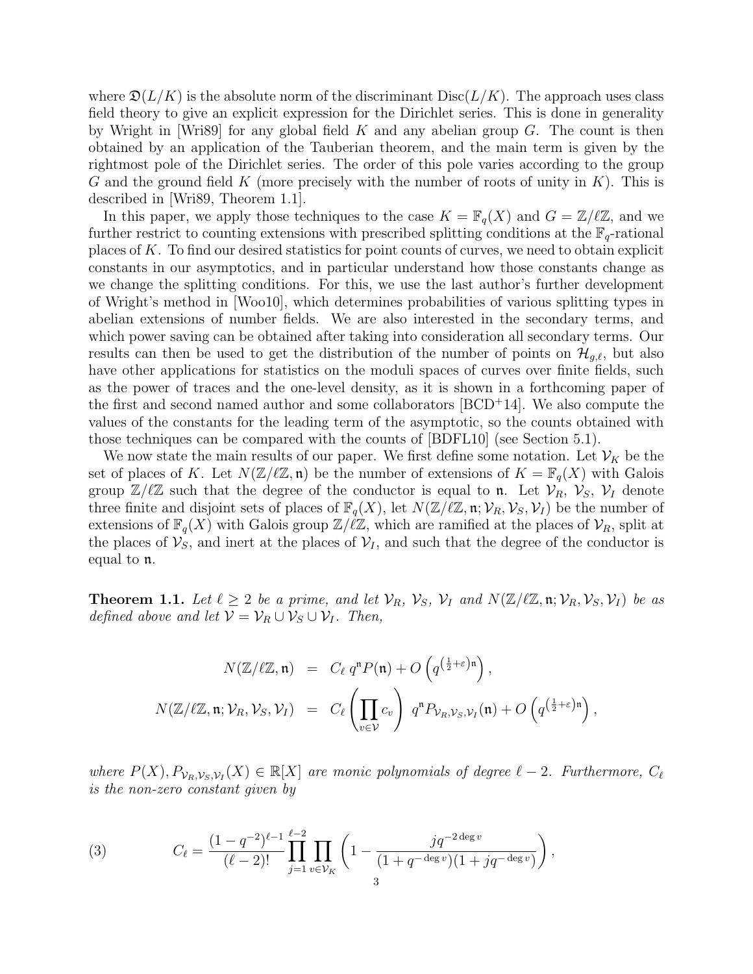where  $\mathfrak{D}(L/K)$  is the absolute norm of the discriminant  $Disc(L/K)$ . The approach uses class field theory to give an explicit expression for the Dirichlet series. This is done in generality by Wright in [Wri89] for any global field  $K$  and any abelian group  $G$ . The count is then obtained by an application of the Tauberian theorem, and the main term is given by the rightmost pole of the Dirichlet series. The order of this pole varies according to the group G and the ground field K (more precisely with the number of roots of unity in  $K$ ). This is described in [Wri89, Theorem 1.1].

In this paper, we apply those techniques to the case  $K = \mathbb{F}_q(X)$  and  $G = \mathbb{Z}/\ell\mathbb{Z}$ , and we further restrict to counting extensions with prescribed splitting conditions at the  $\mathbb{F}_q$ -rational places of K. To find our desired statistics for point counts of curves, we need to obtain explicit constants in our asymptotics, and in particular understand how those constants change as we change the splitting conditions. For this, we use the last author's further development of Wright's method in [Woo10], which determines probabilities of various splitting types in abelian extensions of number fields. We are also interested in the secondary terms, and which power saving can be obtained after taking into consideration all secondary terms. Our results can then be used to get the distribution of the number of points on  $\mathcal{H}_{g,\ell}$ , but also have other applications for statistics on the moduli spaces of curves over finite fields, such as the power of traces and the one-level density, as it is shown in a forthcoming paper of the first and second named author and some collaborators [BCD<sup>+</sup>14]. We also compute the values of the constants for the leading term of the asymptotic, so the counts obtained with those techniques can be compared with the counts of [BDFL10] (see Section 5.1).

We now state the main results of our paper. We first define some notation. Let  $\mathcal{V}_K$  be the set of places of K. Let  $N(\mathbb{Z}/\ell\mathbb{Z}, \mathfrak{n})$  be the number of extensions of  $K = \mathbb{F}_q(X)$  with Galois group  $\mathbb{Z}/\ell\mathbb{Z}$  such that the degree of the conductor is equal to n. Let  $\mathcal{V}_R$ ,  $\mathcal{V}_S$ ,  $\mathcal{V}_I$  denote three finite and disjoint sets of places of  $\mathbb{F}_q(X)$ , let  $N(\mathbb{Z}/\ell\mathbb{Z}, \mathfrak{n}; \mathcal{V}_R, \mathcal{V}_S, \mathcal{V}_I)$  be the number of extensions of  $\mathbb{F}_q(X)$  with Galois group  $\mathbb{Z}/\ell\mathbb{Z}$ , which are ramified at the places of  $\mathcal{V}_R$ , split at the places of  $\mathcal{V}_S$ , and inert at the places of  $\mathcal{V}_I$ , and such that the degree of the conductor is equal to n.

**Theorem 1.1.** Let  $\ell \geq 2$  be a prime, and let  $\mathcal{V}_R$ ,  $\mathcal{V}_S$ ,  $\mathcal{V}_I$  and  $N(\mathbb{Z}/\ell\mathbb{Z}, \mathfrak{n}; \mathcal{V}_R, \mathcal{V}_S, \mathcal{V}_I)$  be as defined above and let  $V = V_R \cup V_S \cup V_I$ . Then,

$$
N(\mathbb{Z}/\ell\mathbb{Z}, \mathfrak{n}) = C_{\ell} q^{n} P(\mathfrak{n}) + O\left(q^{\left(\frac{1}{2} + \varepsilon\right)\mathfrak{n}}\right),
$$
  

$$
N(\mathbb{Z}/\ell\mathbb{Z}, \mathfrak{n}; \mathcal{V}_{R}, \mathcal{V}_{S}, \mathcal{V}_{I}) = C_{\ell} \left(\prod_{v \in \mathcal{V}} c_{v}\right) q^{n} P_{\mathcal{V}_{R}, \mathcal{V}_{S}, \mathcal{V}_{I}}(\mathfrak{n}) + O\left(q^{\left(\frac{1}{2} + \varepsilon\right)\mathfrak{n}}\right),
$$

where  $P(X), P_{V_R, V_S, V_I}(X) \in \mathbb{R}[X]$  are monic polynomials of degree  $\ell - 2$ . Furthermore,  $C_{\ell}$ is the non-zero constant given by

(3) 
$$
C_{\ell} = \frac{(1-q^{-2})^{\ell-1}}{(\ell-2)!} \prod_{j=1}^{\ell-2} \prod_{v \in \mathcal{V}_K} \left(1 - \frac{jq^{-2 \deg v}}{(1+q^{-\deg v})(1+jq^{-\deg v})}\right),
$$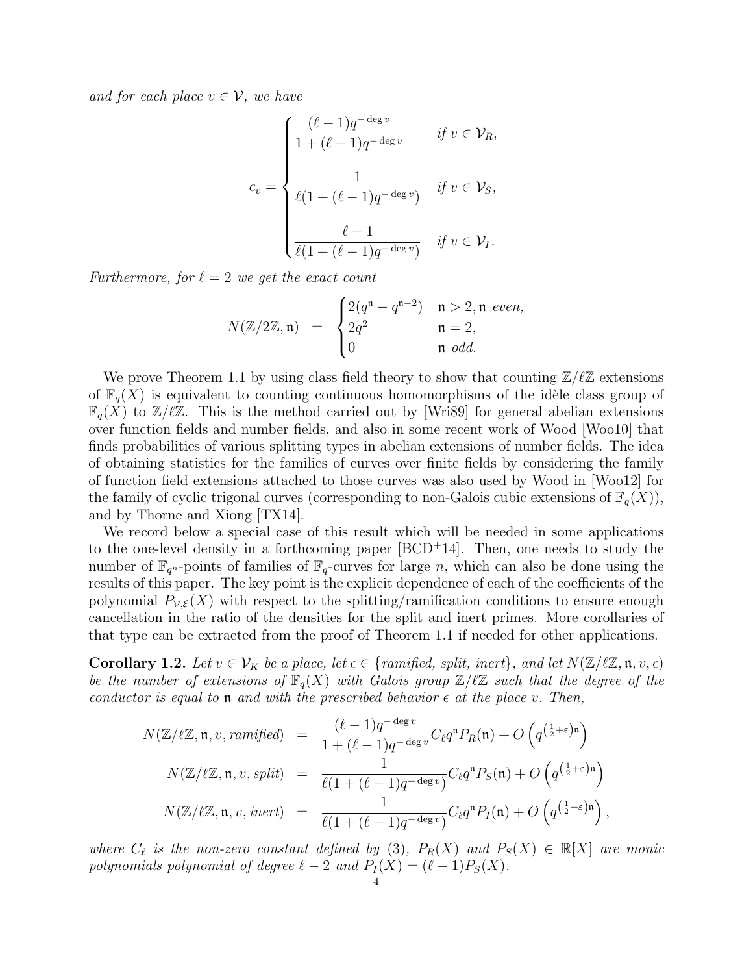and for each place  $v \in V$ , we have

$$
c_v = \begin{cases} \frac{(\ell-1)q^{-\deg v}}{1+(\ell-1)q^{-\deg v}} & \text{if } v \in \mathcal{V}_R, \\ \frac{1}{\ell(1+(\ell-1)q^{-\deg v})} & \text{if } v \in \mathcal{V}_S, \\ \frac{\ell-1}{\ell(1+(\ell-1)q^{-\deg v})} & \text{if } v \in \mathcal{V}_I. \end{cases}
$$

Furthermore, for  $\ell = 2$  we get the exact count

$$
N(\mathbb{Z}/2\mathbb{Z}, \mathfrak{n}) = \begin{cases} 2(q^{\mathfrak{n}} - q^{\mathfrak{n}-2}) & \mathfrak{n} > 2, \mathfrak{n} \text{ even,} \\ 2q^2 & \mathfrak{n} = 2, \\ 0 & \mathfrak{n} \text{ odd.} \end{cases}
$$

We prove Theorem 1.1 by using class field theory to show that counting  $\mathbb{Z}/\ell\mathbb{Z}$  extensions of  $\mathbb{F}_q(X)$  is equivalent to counting continuous homomorphisms of the idèle class group of  $\mathbb{F}_q(X)$  to  $\mathbb{Z}/\ell\mathbb{Z}$ . This is the method carried out by [Wri89] for general abelian extensions over function fields and number fields, and also in some recent work of Wood [Woo10] that finds probabilities of various splitting types in abelian extensions of number fields. The idea of obtaining statistics for the families of curves over finite fields by considering the family of function field extensions attached to those curves was also used by Wood in [Woo12] for the family of cyclic trigonal curves (corresponding to non-Galois cubic extensions of  $\mathbb{F}_q(X)$ ), and by Thorne and Xiong [TX14].

We record below a special case of this result which will be needed in some applications to the one-level density in a forthcoming paper  $[BCD+14]$ . Then, one needs to study the number of  $\mathbb{F}_{q^n}$ -points of families of  $\mathbb{F}_q$ -curves for large n, which can also be done using the results of this paper. The key point is the explicit dependence of each of the coefficients of the polynomial  $P_{V,\mathcal{E}}(X)$  with respect to the splitting/ramification conditions to ensure enough cancellation in the ratio of the densities for the split and inert primes. More corollaries of that type can be extracted from the proof of Theorem 1.1 if needed for other applications.

**Corollary 1.2.** Let  $v \in V_K$  be a place, let  $\epsilon \in \{\text{ramified, split, inert}\},\}$ , and let  $N(\mathbb{Z}/\ell\mathbb{Z}, \mathfrak{n}, v, \epsilon)$ be the number of extensions of  $\mathbb{F}_q(X)$  with Galois group  $\mathbb{Z}/\ell\mathbb{Z}$  such that the degree of the conductor is equal to **n** and with the prescribed behavior  $\epsilon$  at the place v. Then,

$$
N(\mathbb{Z}/\ell\mathbb{Z}, \mathfrak{n}, v, ramified) = \frac{(\ell-1)q^{-\deg v}}{1+(\ell-1)q^{-\deg v}} C_{\ell}q^{n} P_{R}(\mathfrak{n}) + O\left(q^{\left(\frac{1}{2}+\varepsilon\right)\mathfrak{n}}\right)
$$
  

$$
N(\mathbb{Z}/\ell\mathbb{Z}, \mathfrak{n}, v, split) = \frac{1}{\ell(1+(\ell-1)q^{-\deg v})} C_{\ell}q^{n} P_{S}(\mathfrak{n}) + O\left(q^{\left(\frac{1}{2}+\varepsilon\right)\mathfrak{n}}\right)
$$
  

$$
N(\mathbb{Z}/\ell\mathbb{Z}, \mathfrak{n}, v, inert) = \frac{1}{\ell(1+(\ell-1)q^{-\deg v})} C_{\ell}q^{n} P_{I}(\mathfrak{n}) + O\left(q^{\left(\frac{1}{2}+\varepsilon\right)\mathfrak{n}}\right),
$$

where  $C_{\ell}$  is the non-zero constant defined by (3),  $P_R(X)$  and  $P_S(X) \in \mathbb{R}[X]$  are monic polynomials polynomial of degree  $\ell - 2$  and  $P_I (X) = (\ell - 1)P_S (X)$ .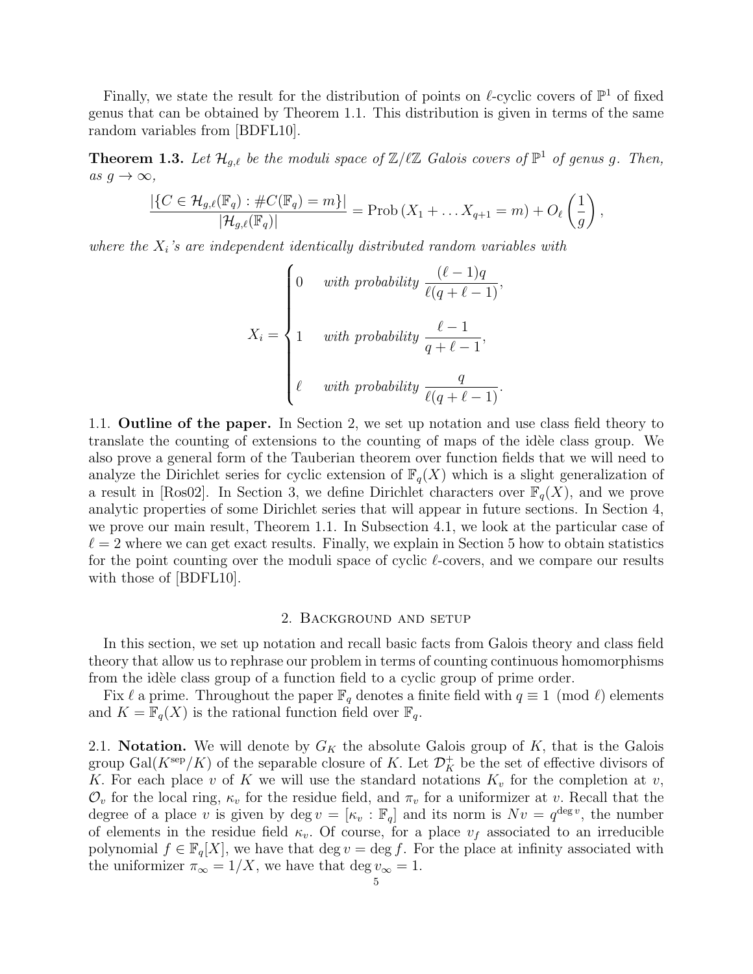Finally, we state the result for the distribution of points on  $\ell$ -cyclic covers of  $\mathbb{P}^1$  of fixed genus that can be obtained by Theorem 1.1. This distribution is given in terms of the same random variables from [BDFL10].

**Theorem 1.3.** Let  $\mathcal{H}_{g,\ell}$  be the moduli space of  $\mathbb{Z}/\ell\mathbb{Z}$  Galois covers of  $\mathbb{P}^1$  of genus g. Then, as  $g \to \infty$ ,

$$
\frac{|\{C \in \mathcal{H}_{g,\ell}(\mathbb{F}_q) : \#C(\mathbb{F}_q) = m\}|}{|\mathcal{H}_{g,\ell}(\mathbb{F}_q)|} = \text{Prob}\left(X_1 + \dots X_{q+1} = m\right) + O_{\ell}\left(\frac{1}{g}\right),
$$

where the  $X_i$ 's are independent identically distributed random variables with

$$
X_i = \begin{cases} 0 & with \ probability \frac{(\ell-1)q}{\ell(q+\ell-1)}, \\ 1 & with \ probability \frac{\ell-1}{q+\ell-1}, \\ \ell & with \ probability \frac{q}{\ell(q+\ell-1)}. \end{cases}
$$

1.1. Outline of the paper. In Section 2, we set up notation and use class field theory to translate the counting of extensions to the counting of maps of the idèle class group. We also prove a general form of the Tauberian theorem over function fields that we will need to analyze the Dirichlet series for cyclic extension of  $\mathbb{F}_q(X)$  which is a slight generalization of a result in [Ros02]. In Section 3, we define Dirichlet characters over  $\mathbb{F}_q(X)$ , and we prove analytic properties of some Dirichlet series that will appear in future sections. In Section 4, we prove our main result, Theorem 1.1. In Subsection 4.1, we look at the particular case of  $\ell = 2$  where we can get exact results. Finally, we explain in Section 5 how to obtain statistics for the point counting over the moduli space of cyclic  $\ell$ -covers, and we compare our results with those of [BDFL10].

#### 2. Background and setup

In this section, we set up notation and recall basic facts from Galois theory and class field theory that allow us to rephrase our problem in terms of counting continuous homomorphisms from the idèle class group of a function field to a cyclic group of prime order.

Fix  $\ell$  a prime. Throughout the paper  $\mathbb{F}_q$  denotes a finite field with  $q \equiv 1 \pmod{\ell}$  elements and  $K = \mathbb{F}_q(X)$  is the rational function field over  $\mathbb{F}_q$ .

2.1. Notation. We will denote by  $G_K$  the absolute Galois group of K, that is the Galois group  $Gal(K^{\text{sep}}/K)$  of the separable closure of K. Let  $\mathcal{D}^+_K$  be the set of effective divisors of K. For each place v of K we will use the standard notations  $K_v$  for the completion at v,  $\mathcal{O}_v$  for the local ring,  $\kappa_v$  for the residue field, and  $\pi_v$  for a uniformizer at v. Recall that the degree of a place v is given by deg  $v = [\kappa_v : \mathbb{F}_q]$  and its norm is  $Nv = q^{\deg v}$ , the number of elements in the residue field  $\kappa_v$ . Of course, for a place  $v_f$  associated to an irreducible polynomial  $f \in \mathbb{F}_q[X]$ , we have that deg  $v = \deg f$ . For the place at infinity associated with the uniformizer  $\pi_{\infty} = 1/X$ , we have that deg  $v_{\infty} = 1$ .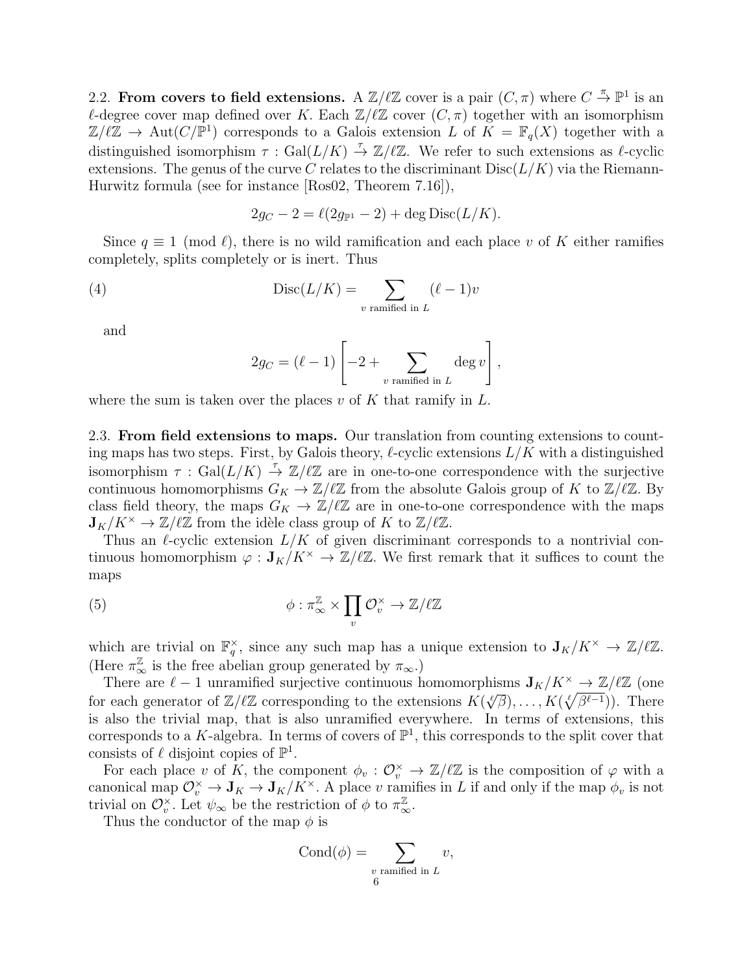2.2. From covers to field extensions. A  $\mathbb{Z}/\ell\mathbb{Z}$  cover is a pair  $(C, \pi)$  where  $C \stackrel{\pi}{\to} \mathbb{P}^1$  is an  $\ell$ -degree cover map defined over K. Each  $\mathbb{Z}/\ell\mathbb{Z}$  cover  $(C, \pi)$  together with an isomorphism  $\mathbb{Z}/\ell\mathbb{Z} \to \text{Aut}(C/\mathbb{P}^1)$  corresponds to a Galois extension L of  $K = \mathbb{F}_q(X)$  together with a distinguished isomorphism  $\tau : \text{Gal}(L/K) \stackrel{\tau}{\to} \mathbb{Z}/\ell\mathbb{Z}$ . We refer to such extensions as  $\ell$ -cyclic extensions. The genus of the curve C relates to the discriminant  $Disc(L/K)$  via the Riemann-Hurwitz formula (see for instance [Ros02, Theorem 7.16]),

$$
2g_C - 2 = \ell(2g_{\mathbb{P}^1} - 2) + \deg \text{Disc}(L/K).
$$

Since  $q \equiv 1 \pmod{\ell}$ , there is no wild ramification and each place v of K either ramifies completely, splits completely or is inert. Thus

(4) 
$$
Disc(L/K) = \sum_{v \text{ ramified in } L} (\ell - 1)v
$$

and

$$
2g_C = (\ell - 1) \left[ -2 + \sum_{v \text{ ramified in } L} \deg v \right],
$$

where the sum is taken over the places  $v$  of K that ramify in  $L$ .

2.3. From field extensions to maps. Our translation from counting extensions to counting maps has two steps. First, by Galois theory,  $\ell$ -cyclic extensions  $L/K$  with a distinguished isomorphism  $\tau$ : Gal $(L/K) \stackrel{\tau}{\to} \mathbb{Z}/\ell\mathbb{Z}$  are in one-to-one correspondence with the surjective continuous homomorphisms  $G_K \to \mathbb{Z}/\ell\mathbb{Z}$  from the absolute Galois group of K to  $\mathbb{Z}/\ell\mathbb{Z}$ . By class field theory, the maps  $G_K \to \mathbb{Z}/\ell\mathbb{Z}$  are in one-to-one correspondence with the maps  $\mathbf{J}_K/K^{\times} \to \mathbb{Z}/\ell\mathbb{Z}$  from the idèle class group of K to  $\mathbb{Z}/\ell\mathbb{Z}$ .

Thus an  $\ell$ -cyclic extension  $L/K$  of given discriminant corresponds to a nontrivial continuous homomorphism  $\varphi : \mathbf{J}_K/K^\times \to \mathbb{Z}/\ell\mathbb{Z}$ . We first remark that it suffices to count the maps

(5) 
$$
\phi : \pi_{\infty}^{\mathbb{Z}} \times \prod_{v} \mathcal{O}_{v}^{\times} \to \mathbb{Z}/\ell\mathbb{Z}
$$

which are trivial on  $\mathbb{F}_q^{\times}$ , since any such map has a unique extension to  $J_K/K^{\times} \to \mathbb{Z}/\ell\mathbb{Z}$ . (Here  $\pi_{\infty}^{\mathbb{Z}}$  is the free abelian group generated by  $\pi_{\infty}$ .)

There are  $\ell - 1$  unramified surjective continuous homomorphisms  $J_K/K^{\times} \to \mathbb{Z}/\ell\mathbb{Z}$  (one for each generator of  $\mathbb{Z}/\ell\mathbb{Z}$  corresponding to the extensions  $K(\sqrt[\ell]{\beta}), \ldots, K(\sqrt[\ell]{\beta^{\ell-1}})$ . There is also the trivial map, that is also unramified everywhere. In terms of extensions, this corresponds to a K-algebra. In terms of covers of  $\mathbb{P}^1$ , this corresponds to the split cover that consists of  $\ell$  disjoint copies of  $\mathbb{P}^1$ .

For each place v of K, the component  $\phi_v : \mathcal{O}_v^{\times} \to \mathbb{Z}/\ell\mathbb{Z}$  is the composition of  $\varphi$  with a canonical map  $\mathcal{O}_v^{\times} \to \mathbf{J}_K \to \mathbf{J}_K/K^{\times}$ . A place v ramifies in L if and only if the map  $\phi_v$  is not trivial on  $\mathcal{O}_v^{\times}$ . Let  $\psi_{\infty}$  be the restriction of  $\phi$  to  $\pi_{\infty}^{\mathbb{Z}}$ .

Thus the conductor of the map  $\phi$  is

$$
Cond(\phi) = \sum_{\substack{v \text{ ramified in } L \\ 6}} v,
$$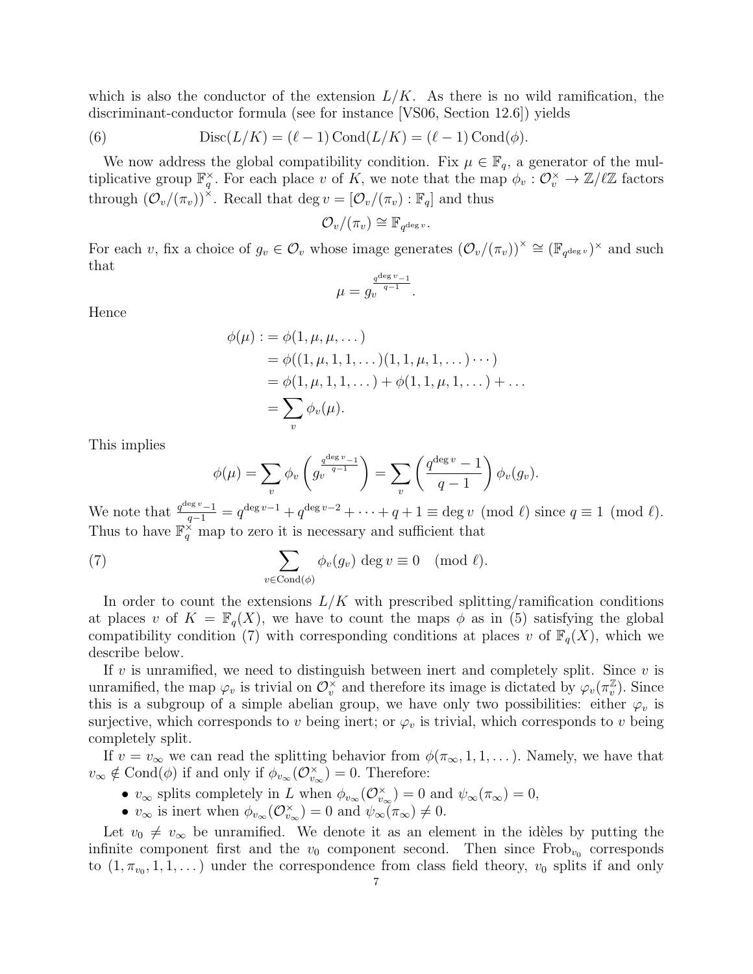which is also the conductor of the extension  $L/K$ . As there is no wild ramification, the discriminant-conductor formula (see for instance [VS06, Section 12.6]) yields

(6) 
$$
Disc(L/K) = (\ell - 1) Cond(L/K) = (\ell - 1) Cond(\phi).
$$

We now address the global compatibility condition. Fix  $\mu \in \mathbb{F}_q$ , a generator of the multiplicative group  $\mathbb{F}_q^{\times}$ . For each place v of K, we note that the map  $\phi_v : \mathcal{O}_v^{\times} \to \mathbb{Z}/\ell\mathbb{Z}$  factors through  $(\mathcal{O}_v/(\pi_v))^{\times}$ . Recall that deg  $v = [\mathcal{O}_v/(\pi_v) : \mathbb{F}_q]$  and thus

$$
\mathcal{O}_v/(\pi_v) \cong \mathbb{F}_{q^{\deg v}}.
$$

For each v, fix a choice of  $g_v \in \mathcal{O}_v$  whose image generates  $(\mathcal{O}_v/(\pi_v))^{\times} \cong (\mathbb{F}_{q^{\deg v}})^{\times}$  and such that

$$
\mu=g_v^{\frac{q^{\deg v}-1}{q-1}}.
$$

Hence

$$
\phi(\mu) := \phi(1, \mu, \mu, \dots) \n= \phi((1, \mu, 1, 1, \dots)(1, 1, \mu, 1, \dots) \cdots) \n= \phi(1, \mu, 1, 1, \dots) + \phi(1, 1, \mu, 1, \dots) + \dots \n= \sum_{v} \phi_{v}(\mu).
$$

This implies

$$
\phi(\mu) = \sum_{v} \phi_v \left( g_v^{\frac{q^{\deg v} - 1}{q-1}} \right) = \sum_{v} \left( \frac{q^{\deg v} - 1}{q-1} \right) \phi_v(g_v).
$$

We note that  $\frac{q^{\deg v}-1}{q-1} = q^{\deg v-1} + q^{\deg v-2} + \cdots + q+1 \equiv \deg v \pmod{\ell}$  since  $q \equiv 1 \pmod{\ell}$ . Thus to have  $\mathbb{F}_q^{\times}$  map to zero it is necessary and sufficient that

(7) 
$$
\sum_{v \in \text{Cond}(\phi)} \phi_v(g_v) \deg v \equiv 0 \pmod{\ell}.
$$

In order to count the extensions  $L/K$  with prescribed splitting/ramification conditions at places v of  $K = \mathbb{F}_q(X)$ , we have to count the maps  $\phi$  as in (5) satisfying the global compatibility condition (7) with corresponding conditions at places v of  $\mathbb{F}_q(X)$ , which we describe below.

If v is unramified, we need to distinguish between inert and completely split. Since  $v$  is unramified, the map  $\varphi_v$  is trivial on  $\mathcal{O}_v^{\times}$  and therefore its image is dictated by  $\varphi_v(\pi_v^{\mathbb{Z}})$  $_v^{\mathbb{Z}}$ ). Since this is a subgroup of a simple abelian group, we have only two possibilities: either  $\varphi_v$  is surjective, which corresponds to v being inert; or  $\varphi_v$  is trivial, which corresponds to v being completely split.

If  $v = v_{\infty}$  we can read the splitting behavior from  $\phi(\pi_{\infty}, 1, 1, \ldots)$ . Namely, we have that  $v_{\infty} \notin \text{Cond}(\phi)$  if and only if  $\phi_{v_{\infty}}(\mathcal{O}_{v_{\infty}}^{\times}) = 0$ . Therefore:

- $v_{\infty}$  splits completely in L when  $\phi_{v_{\infty}}(\mathcal{O}_{v_{\infty}}^{\times})=0$  and  $\psi_{\infty}(\pi_{\infty})=0$ ,
- $v_{\infty}$  is inert when  $\phi_{v_{\infty}}(\mathcal{O}_{v_{\infty}}^{\times})=0$  and  $\psi_{\infty}(\pi_{\infty})\neq0$ .

Let  $v_0 \neq v_\infty$  be unramified. We denote it as an element in the idèles by putting the infinite component first and the  $v_0$  component second. Then since  $Frob_{v_0}$  corresponds to  $(1, \pi_{v_0}, 1, 1, ...)$  under the correspondence from class field theory,  $v_0$  splits if and only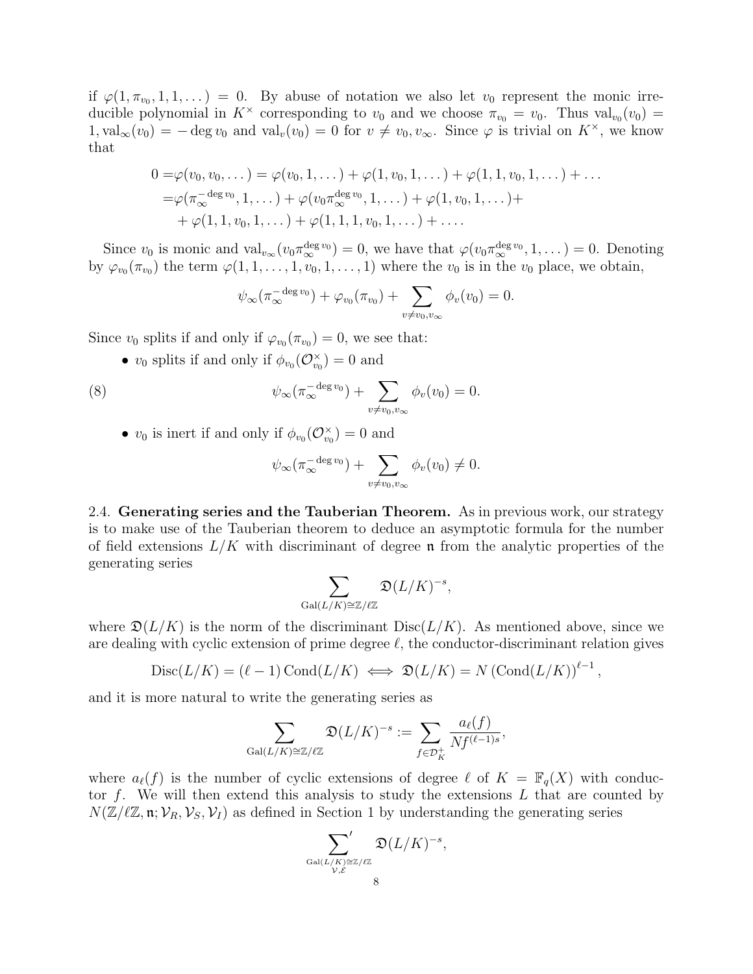if  $\varphi(1, \pi_{v_0}, 1, 1, ...) = 0$ . By abuse of notation we also let  $v_0$  represent the monic irreducible polynomial in  $K^{\times}$  corresponding to  $v_0$  and we choose  $\pi_{v_0} = v_0$ . Thus val<sub> $v_0$ </sub> $(v_0) =$  $1, val_{\infty}(v_0) = - \deg v_0$  and  $val_v(v_0) = 0$  for  $v \neq v_0, v_{\infty}$ . Since  $\varphi$  is trivial on  $K^{\times}$ , we know that

$$
0 = \varphi(v_0, v_0, \dots) = \varphi(v_0, 1, \dots) + \varphi(1, v_0, 1, \dots) + \varphi(1, 1, v_0, 1, \dots) + \dots = \varphi(\pi_{\infty}^{-\deg v_0}, 1, \dots) + \varphi(v_0 \pi_{\infty}^{\deg v_0}, 1, \dots) + \varphi(1, v_0, 1, \dots) + + \varphi(1, 1, v_0, 1, \dots) + \varphi(1, 1, 1, v_0, 1, \dots) + \dots
$$

Since  $v_0$  is monic and  $\text{val}_{v_{\infty}}(v_0 \pi_{\infty}^{\deg v_0}) = 0$ , we have that  $\varphi(v_0 \pi_{\infty}^{\deg v_0}, 1, ...) = 0$ . Denoting by  $\varphi_{v_0}(\pi_{v_0})$  the term  $\varphi(1,1,\ldots,1,v_0,1,\ldots,1)$  where the  $v_0$  is in the  $v_0$  place, we obtain,

$$
\psi_{\infty}(\pi_{\infty}^{-\deg v_0}) + \varphi_{v_0}(\pi_{v_0}) + \sum_{v \neq v_0, v_{\infty}} \phi_v(v_0) = 0.
$$

Since  $v_0$  splits if and only if  $\varphi_{v_0}(\pi_{v_0}) = 0$ , we see that:

•  $v_0$  splits if and only if  $\phi_{v_0}(\mathcal{O}_{v_0}^{\times})=0$  and

(8) 
$$
\psi_{\infty}(\pi_{\infty}^{-\deg v_0}) + \sum_{v \neq v_0, v_{\infty}} \phi_v(v_0) = 0.
$$

•  $v_0$  is inert if and only if  $\phi_{v_0}(\mathcal{O}_{v_0}^{\times}) = 0$  and

$$
\psi_{\infty}(\pi_{\infty}^{-\deg v_0}) + \sum_{v \neq v_0, v_{\infty}} \phi_v(v_0) \neq 0.
$$

2.4. Generating series and the Tauberian Theorem. As in previous work, our strategy is to make use of the Tauberian theorem to deduce an asymptotic formula for the number of field extensions  $L/K$  with discriminant of degree **n** from the analytic properties of the generating series

$$
\sum_{\text{Gal}(L/K)\cong \mathbb{Z}/\ell\mathbb{Z}}\mathfrak{D}(L/K)^{-s},
$$

where  $\mathfrak{D}(L/K)$  is the norm of the discriminant  $Disc(L/K)$ . As mentioned above, since we are dealing with cyclic extension of prime degree  $\ell$ , the conductor-discriminant relation gives

$$
Disc(L/K) = (\ell - 1) Cond(L/K) \iff \mathfrak{D}(L/K) = N (Cond(L/K))^{\ell - 1},
$$

and it is more natural to write the generating series as

$$
\sum_{\text{Gal}(L/K)\cong \mathbb{Z}/\ell\mathbb{Z}} \mathfrak{D}(L/K)^{-s} := \sum_{f\in \mathcal{D}_K^+} \frac{a_{\ell}(f)}{Nf^{(\ell-1)s}},
$$

where  $a_{\ell}(f)$  is the number of cyclic extensions of degree  $\ell$  of  $K = \mathbb{F}_q(X)$  with conductor f. We will then extend this analysis to study the extensions  $L$  that are counted by  $N(\mathbb{Z}/\ell\mathbb{Z}, \mathfrak{n}; \mathcal{V}_R, \mathcal{V}_S, \mathcal{V}_I)$  as defined in Section 1 by understanding the generating series

$$
\sum_{\mathrm{Gal}(L/K)\cong \mathbb{Z}/\ell\mathbb{Z}\atop \mathcal{V},\mathcal{E}} \mathfrak{D}(L/K)^{-s},
$$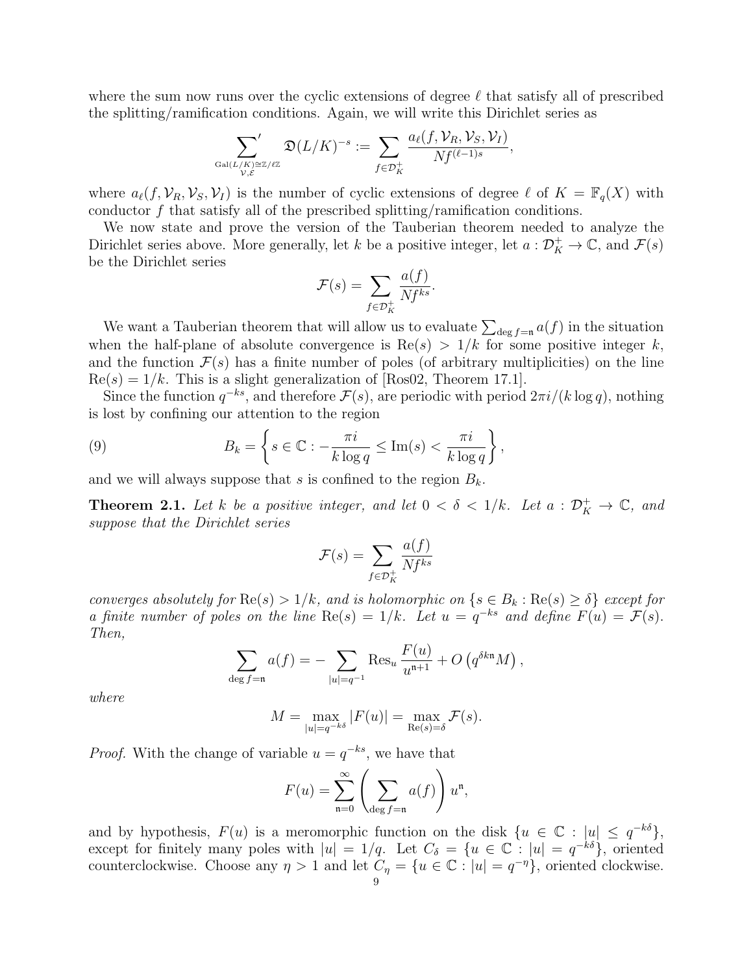where the sum now runs over the cyclic extensions of degree  $\ell$  that satisfy all of prescribed the splitting/ramification conditions. Again, we will write this Dirichlet series as

$$
\sum_{\mathrm{Gal}(L/K)\cong \mathbb{Z}/\ell\mathbb{Z}\atop \mathcal{V}, \mathcal{E}} \mathfrak{D}(L/K)^{-s}:=\sum_{f\in \mathcal{D}^+_K} \frac{a_{\ell}(f,\mathcal{V}_R,\mathcal{V}_S,\mathcal{V}_I)}{Nf^{(\ell-1)s}},
$$

where  $a_{\ell}(f, \mathcal{V}_R, \mathcal{V}_S, \mathcal{V}_I)$  is the number of cyclic extensions of degree  $\ell$  of  $K = \mathbb{F}_q(X)$  with conductor  $f$  that satisfy all of the prescribed splitting/ramification conditions.

We now state and prove the version of the Tauberian theorem needed to analyze the Dirichlet series above. More generally, let k be a positive integer, let  $a: \mathcal{D}_K^+ \to \mathbb{C}$ , and  $\mathcal{F}(s)$ be the Dirichlet series

$$
\mathcal{F}(s) = \sum_{f \in \mathcal{D}_K^+} \frac{a(f)}{Nf^{ks}}.
$$

We want a Tauberian theorem that will allow us to evaluate  $\sum_{\deg f=n} a(f)$  in the situation when the half-plane of absolute convergence is  $\text{Re}(s) > 1/k$  for some positive integer k, and the function  $\mathcal{F}(s)$  has a finite number of poles (of arbitrary multiplicities) on the line  $Re(s) = 1/k$ . This is a slight generalization of [Ros02, Theorem 17.1].

Since the function  $q^{-ks}$ , and therefore  $\mathcal{F}(s)$ , are periodic with period  $2\pi i/(k \log q)$ , nothing is lost by confining our attention to the region

(9) 
$$
B_k = \left\{ s \in \mathbb{C} : -\frac{\pi i}{k \log q} \le \text{Im}(s) < \frac{\pi i}{k \log q} \right\},\
$$

and we will always suppose that s is confined to the region  $B_k$ .

**Theorem 2.1.** Let k be a positive integer, and let  $0 < \delta < 1/k$ . Let  $a : \mathcal{D}_K^+ \to \mathbb{C}$ , and suppose that the Dirichlet series

$$
\mathcal{F}(s) = \sum_{f \in \mathcal{D}_K^+} \frac{a(f)}{Nf^{ks}}
$$

converges absolutely for  $\text{Re}(s) > 1/k$ , and is holomorphic on  $\{s \in B_k : \text{Re}(s) \geq \delta\}$  except for a finite number of poles on the line  $\text{Re}(s) = 1/k$ . Let  $u = q^{-ks}$  and define  $F(u) = \mathcal{F}(s)$ . Then,

$$
\sum_{\deg f = \mathfrak{n}} a(f) = - \sum_{|u| = q^{-1}} \text{Res}_{u} \frac{F(u)}{u^{\mathfrak{n}+1}} + O(q^{\delta k \mathfrak{n}} M),
$$

where

$$
M = \max_{|u|=q^{-k\delta}} |F(u)| = \max_{\text{Re}(s)=\delta} \mathcal{F}(s).
$$

*Proof.* With the change of variable  $u = q^{-ks}$ , we have that

$$
F(u) = \sum_{n=0}^{\infty} \left( \sum_{\deg f = n} a(f) \right) u^{n},
$$

and by hypothesis,  $F(u)$  is a meromorphic function on the disk  $\{u \in \mathbb{C} : |u| \leq q^{-k\delta}\},\$ except for finitely many poles with  $|u|=1/q$ . Let  $C_{\delta} = \{u \in \mathbb{C} : |u|=q^{-k\delta}\}\,$  oriented counterclockwise. Choose any  $\eta > 1$  and let  $C_{\eta} = \{u \in \mathbb{C} : |u| = q^{-\eta}\}\$ , oriented clockwise.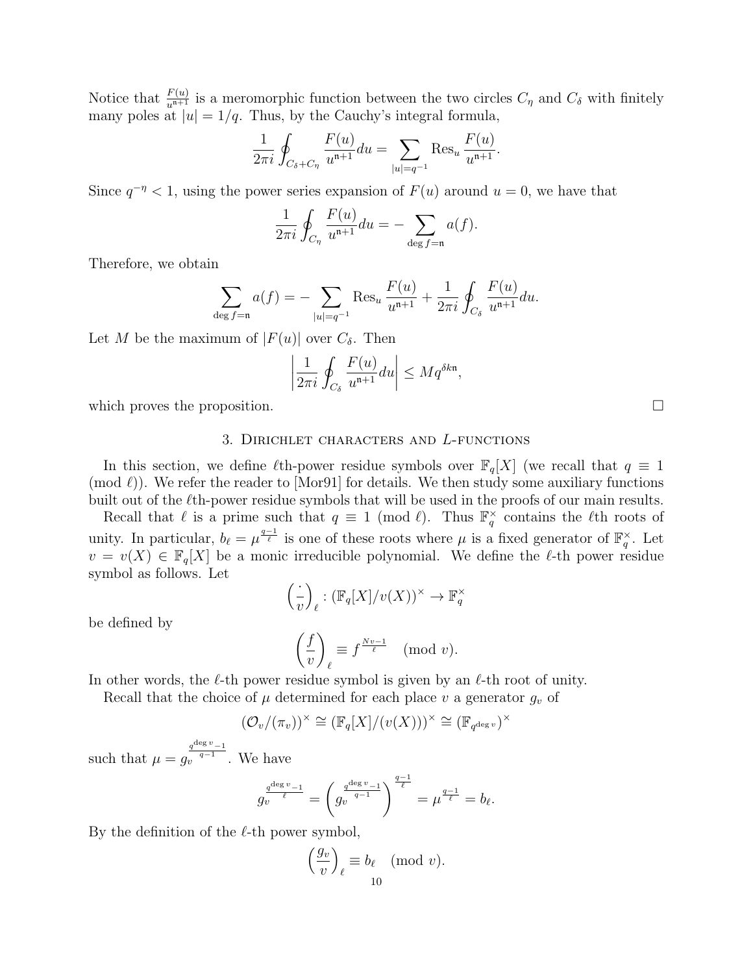Notice that  $\frac{F(u)}{u^{n+1}}$  is a meromorphic function between the two circles  $C_{\eta}$  and  $C_{\delta}$  with finitely many poles at  $|u|=1/q$ . Thus, by the Cauchy's integral formula,

$$
\frac{1}{2\pi i} \oint_{C_{\delta} + C_{\eta}} \frac{F(u)}{u^{n+1}} du = \sum_{|u|=q^{-1}} \text{Res}_{u} \frac{F(u)}{u^{n+1}}.
$$

Since  $q^{-\eta} < 1$ , using the power series expansion of  $F(u)$  around  $u = 0$ , we have that

$$
\frac{1}{2\pi i} \oint_{C_{\eta}} \frac{F(u)}{u^{n+1}} du = - \sum_{\deg f = n} a(f).
$$

Therefore, we obtain

$$
\sum_{\deg f = \mathfrak{n}} a(f) = - \sum_{|u| = q^{-1}} \text{Res}_{u} \frac{F(u)}{u^{\mathfrak{n}+1}} + \frac{1}{2\pi i} \oint_{C_{\delta}} \frac{F(u)}{u^{\mathfrak{n}+1}} du.
$$

Let M be the maximum of  $|F(u)|$  over  $C_{\delta}$ . Then

$$
\left|\frac{1}{2\pi i}\oint_{C_\delta}\frac{F(u)}{u^{n+1}}du\right|\leq Mq^{\delta k n}
$$

,

which proves the proposition.  $\Box$ 

# 3. Dirichlet characters and L-functions

In this section, we define  $\ell$ th-power residue symbols over  $\mathbb{F}_q[X]$  (we recall that  $q \equiv 1$  $(\text{mod } \ell)$ ). We refer the reader to [Mor91] for details. We then study some auxiliary functions built out of the  $\ell$ th-power residue symbols that will be used in the proofs of our main results.

Recall that  $\ell$  is a prime such that  $q \equiv 1 \pmod{\ell}$ . Thus  $\mathbb{F}_q^{\times}$  contains the  $\ell$ th roots of unity. In particular,  $b_\ell = \mu^{\frac{q-1}{\ell}}$  is one of these roots where  $\mu$  is a fixed generator of  $\mathbb{F}_q^{\times}$ . Let  $v = v(X) \in \mathbb{F}_q[X]$  be a monic irreducible polynomial. We define the  $\ell$ -th power residue symbol as follows. Let

$$
\left(\frac{\cdot}{v}\right)_{\ell} : (\mathbb{F}_q[X]/v(X))^{\times} \to \mathbb{F}_q^{\times}
$$

be defined by

$$
\left(\frac{f}{v}\right)_{\ell} \equiv f^{\frac{Nv-1}{\ell}} \pmod{v}.
$$

In other words, the  $\ell$ -th power residue symbol is given by an  $\ell$ -th root of unity.

Recall that the choice of  $\mu$  determined for each place v a generator  $g_v$  of

$$
(\mathcal{O}_v/(\pi_v))^{\times} \cong (\mathbb{F}_q[X]/(v(X)))^{\times} \cong (\mathbb{F}_{q^{\deg v}})^{\times}
$$

such that  $\mu = g_v^{\frac{q^{\deg v}-1}{q-1}}$ . We have

$$
g_v^{\frac{q^{\deg v}-1}{\ell}} = \left(g_v^{\frac{q^{\deg v}-1}{q-1}}\right)^{\frac{q-1}{\ell}} = \mu^{\frac{q-1}{\ell}} = b_{\ell}.
$$

By the definition of the  $\ell$ -th power symbol,

$$
\left(\frac{g_v}{v}\right)_{\ell} \equiv b_{\ell} \pmod{v}.
$$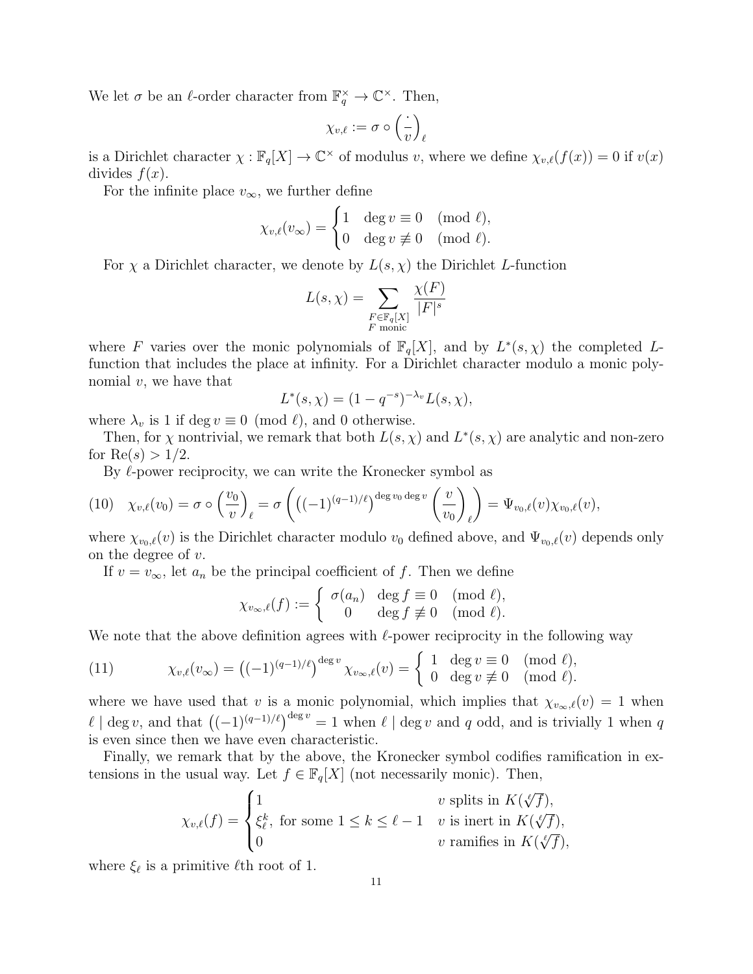We let  $\sigma$  be an  $\ell$ -order character from  $\mathbb{F}_q^{\times} \to \mathbb{C}^{\times}$ . Then,

$$
\chi_{v,\ell}:=\sigma\circ\left(\frac{\cdot}{v}\right)_\ell
$$

is a Dirichlet character  $\chi : \mathbb{F}_q[X] \to \mathbb{C}^\times$  of modulus v, where we define  $\chi_{v,\ell}(f(x)) = 0$  if  $v(x)$ divides  $f(x)$ .

For the infinite place  $v_{\infty}$ , we further define

$$
\chi_{v,\ell}(v_{\infty}) = \begin{cases} 1 & \text{deg } v \equiv 0 \pmod{\ell}, \\ 0 & \text{deg } v \not\equiv 0 \pmod{\ell}. \end{cases}
$$

For  $\chi$  a Dirichlet character, we denote by  $L(s, \chi)$  the Dirichlet L-function

$$
L(s, \chi) = \sum_{\substack{F \in \mathbb{F}_q[X] \\ F \text{ monic}}} \frac{\chi(F)}{|F|^s}
$$

where F varies over the monic polynomials of  $\mathbb{F}_q[X]$ , and by  $L^*(s,\chi)$  the completed Lfunction that includes the place at infinity. For a Dirichlet character modulo a monic polynomial  $v$ , we have that

$$
L^*(s, \chi) = (1 - q^{-s})^{-\lambda_v} L(s, \chi),
$$

where  $\lambda_v$  is 1 if deg  $v \equiv 0 \pmod{\ell}$ , and 0 otherwise.

Then, for  $\chi$  nontrivial, we remark that both  $L(s, \chi)$  and  $L^*(s, \chi)$  are analytic and non-zero for  $Re(s) > 1/2$ .

By  $\ell$ -power reciprocity, we can write the Kronecker symbol as

$$
(10) \quad \chi_{v,\ell}(v_0) = \sigma \circ \left(\frac{v_0}{v}\right)_{\ell} = \sigma \left(\left((-1)^{(q-1)/\ell}\right)^{\deg v_0 \deg v} \left(\frac{v}{v_0}\right)_{\ell}\right) = \Psi_{v_0,\ell}(v) \chi_{v_0,\ell}(v),
$$

where  $\chi_{v_0,\ell}(v)$  is the Dirichlet character modulo  $v_0$  defined above, and  $\Psi_{v_0,\ell}(v)$  depends only on the degree of v.

If  $v = v_{\infty}$ , let  $a_n$  be the principal coefficient of f. Then we define

$$
\chi_{v_{\infty},\ell}(f) := \begin{cases} \sigma(a_n) & \text{deg } f \equiv 0 \pmod{\ell}, \\ 0 & \text{deg } f \not\equiv 0 \pmod{\ell}. \end{cases}
$$

We note that the above definition agrees with  $\ell$ -power reciprocity in the following way

(11) 
$$
\chi_{v,\ell}(v_{\infty}) = \left((-1)^{(q-1)/\ell}\right)^{\deg v} \chi_{v_{\infty},\ell}(v) = \begin{cases} 1 & \deg v \equiv 0 \pmod{\ell}, \\ 0 & \deg v \not\equiv 0 \pmod{\ell}. \end{cases}
$$

where we have used that v is a monic polynomial, which implies that  $\chi_{v_{\infty},\ell}(v) = 1$  when  $\ell \mid \deg v$ , and that  $((-1)^{(q-1)/\ell})^{\deg v} = 1$  when  $\ell \mid \deg v$  and q odd, and is trivially 1 when q is even since then we have even characteristic.

Finally, we remark that by the above, the Kronecker symbol codifies ramification in extensions in the usual way. Let  $f \in \mathbb{F}_q[X]$  (not necessarily monic). Then,

$$
\chi_{v,\ell}(f) = \begin{cases} 1 & v \text{ splits in } K(\sqrt[\ell]{f}), \\ \xi_{\ell}^k, \text{ for some } 1 \le k \le \ell - 1 & v \text{ is inert in } K(\sqrt[\ell]{f}), \\ 0 & v \text{ ramifies in } K(\sqrt[\ell]{f}), \end{cases}
$$

where  $\xi_{\ell}$  is a primitive  $\ell$ <sup>th</sup> root of 1.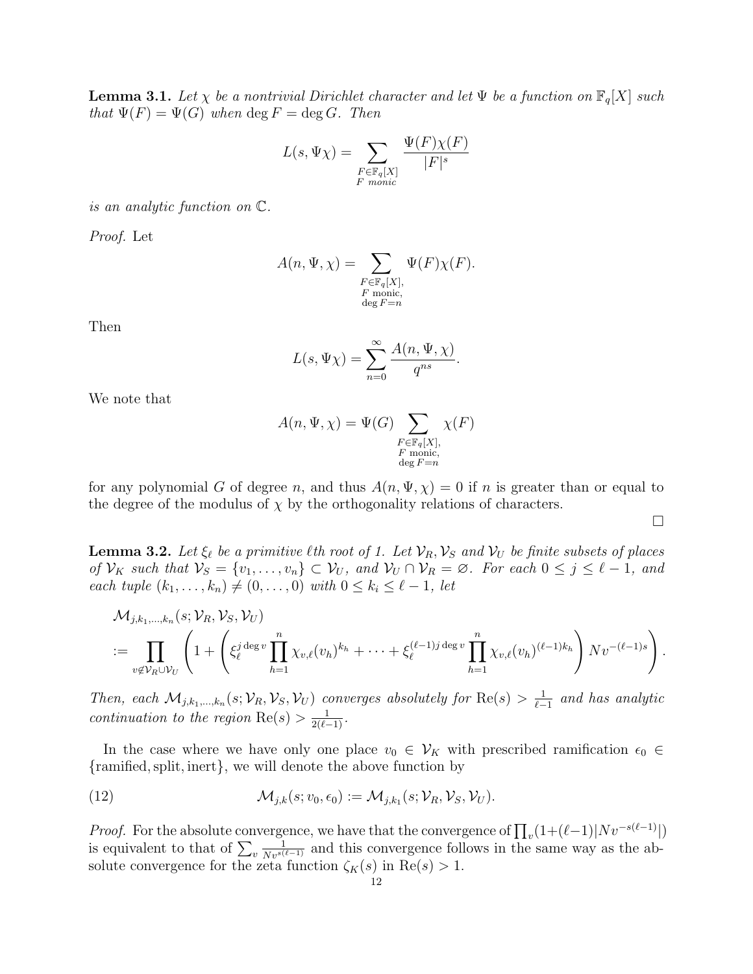**Lemma 3.1.** Let  $\chi$  be a nontrivial Dirichlet character and let  $\Psi$  be a function on  $\mathbb{F}_q[X]$  such that  $\Psi(F) = \Psi(G)$  when  $\deg F = \deg G$ . Then

$$
L(s, \Psi \chi) = \sum_{\substack{F \in \mathbb{F}_q[X] \\ F \text{ monic}}} \frac{\Psi(F) \chi(F)}{|F|^s}
$$

is an analytic function on C.

Proof. Let

$$
A(n, \Psi, \chi) = \sum_{\substack{F \in \mathbb{F}_q[X], \\ F \text{ monic,} \\ \deg F = n}} \Psi(F) \chi(F).
$$

Then

$$
L(s, \Psi \chi) = \sum_{n=0}^{\infty} \frac{A(n, \Psi, \chi)}{q^{ns}}.
$$

We note that

$$
A(n, \Psi, \chi) = \Psi(G) \sum_{\substack{F \in \mathbb{F}_q[X], \\ F \text{ monic,} \\ \deg F = n}} \chi(F)
$$

for any polynomial G of degree n, and thus  $A(n, \Psi, \chi) = 0$  if n is greater than or equal to the degree of the modulus of  $\chi$  by the orthogonality relations of characters.

 $\Box$ 

**Lemma 3.2.** Let  $\xi_{\ell}$  be a primitive  $\ell$ th root of 1. Let  $V_R$ ,  $V_S$  and  $V_U$  be finite subsets of places of  $\mathcal{V}_K$  such that  $\mathcal{V}_S = \{v_1, \ldots, v_n\} \subset \mathcal{V}_U$ , and  $\mathcal{V}_U \cap \mathcal{V}_R = \emptyset$ . For each  $0 \le j \le \ell - 1$ , and each tuple  $(k_1, ..., k_n) \neq (0, ..., 0)$  with  $0 \leq k_i \leq \ell - 1$ , let

$$
\mathcal{M}_{j,k_1,\ldots,k_n}(s;\mathcal{V}_R,\mathcal{V}_S,\mathcal{V}_U)
$$
  

$$
:= \prod_{v \notin \mathcal{V}_R \cup \mathcal{V}_U} \left(1 + \left(\xi_\ell^{j \deg v} \prod_{h=1}^n \chi_{v,\ell}(v_h)^{k_h} + \cdots + \xi_\ell^{(\ell-1)j \deg v} \prod_{h=1}^n \chi_{v,\ell}(v_h)^{(\ell-1)k_h}\right) Nv^{-(\ell-1)s}\right).
$$

Then, each  $\mathcal{M}_{j,k_1,\dots,k_n}(s;\mathcal{V}_R,\mathcal{V}_S,\mathcal{V}_U)$  converges absolutely for  $\text{Re}(s) > \frac{1}{\ell-1}$  $\frac{1}{\ell-1}$  and has analytic continuation to the region  $\text{Re}(s) > \frac{1}{2(\ell-1)}$ .

In the case where we have only one place  $v_0 \in V_K$  with prescribed ramification  $\epsilon_0 \in$ {ramified,split, inert}, we will denote the above function by

(12) 
$$
\mathcal{M}_{j,k}(s; v_0, \epsilon_0) := \mathcal{M}_{j,k_1}(s; \mathcal{V}_R, \mathcal{V}_S, \mathcal{V}_U).
$$

*Proof.* For the absolute convergence, we have that the convergence of  $\prod_{v}(1+(\ell-1)|Nv^{-s(\ell-1)}|)$ is equivalent to that of  $\sum_{v}$  $\frac{1}{Nv^{s(\ell-1)}}$  and this convergence follows in the same way as the absolute convergence for the zeta function  $\zeta_K(s)$  in  $\text{Re}(s) > 1$ .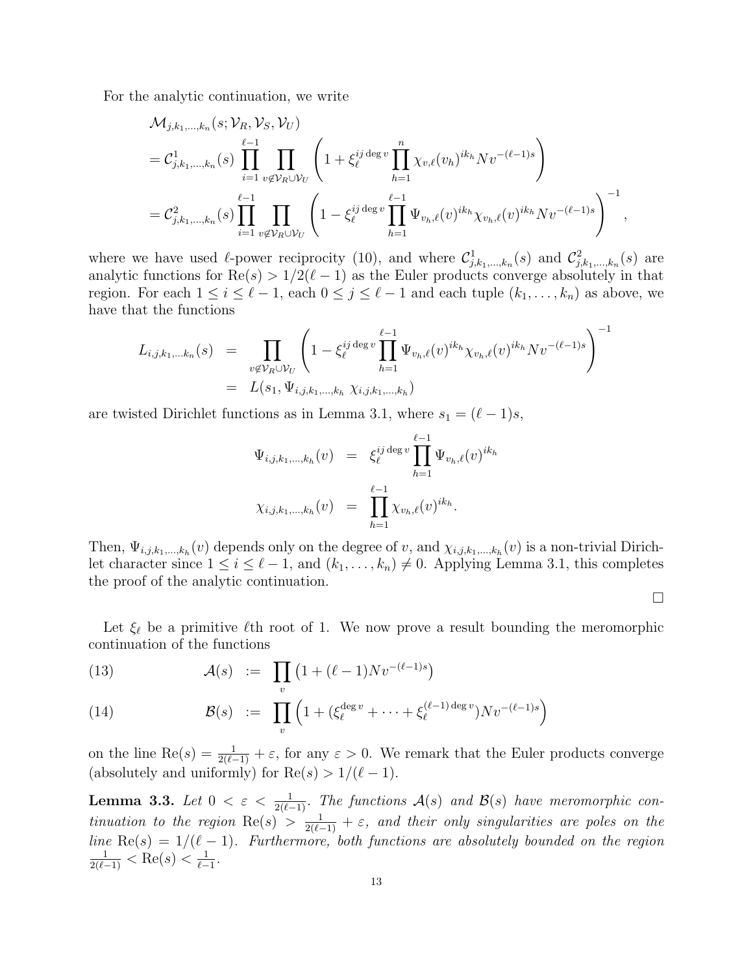For the analytic continuation, we write

$$
\mathcal{M}_{j,k_1,\dots,k_n}(s; \mathcal{V}_R, \mathcal{V}_S, \mathcal{V}_U)
$$
\n
$$
= \mathcal{C}_{j,k_1,\dots,k_n}^1(s) \prod_{i=1}^{\ell-1} \prod_{v \notin \mathcal{V}_R \cup \mathcal{V}_U} \left(1 + \xi_{\ell}^{ij \deg v} \prod_{h=1}^n \chi_{v,\ell}(v_h)^{ik_h} Nv^{-(\ell-1)s}\right)
$$
\n
$$
= \mathcal{C}_{j,k_1,\dots,k_n}^2(s) \prod_{i=1}^{\ell-1} \prod_{v \notin \mathcal{V}_R \cup \mathcal{V}_U} \left(1 - \xi_{\ell}^{ij \deg v} \prod_{h=1}^{\ell-1} \Psi_{v_h,\ell}(v)^{ik_h} \chi_{v_h,\ell}(v)^{ik_h} Nv^{-(\ell-1)s}\right)^{-1},
$$

where we have used  $\ell$ -power reciprocity (10), and where  $\mathcal{C}^1_{j,k_1,...,k_n}(s)$  and  $\mathcal{C}^2_{j,k_1,...,k_n}(s)$  are analytic functions for  $\text{Re}(s) > 1/2(\ell - 1)$  as the Euler products converge absolutely in that region. For each  $1 \leq i \leq \ell - 1$ , each  $0 \leq j \leq \ell - 1$  and each tuple  $(k_1, \ldots, k_n)$  as above, we have that the functions

$$
L_{i,j,k_1,...k_n}(s) = \prod_{v \notin \mathcal{V}_R \cup \mathcal{V}_U} \left(1 - \xi_{\ell}^{ij \deg v} \prod_{h=1}^{\ell-1} \Psi_{v_h,\ell}(v)^{ik_h} \chi_{v_h,\ell}(v)^{ik_h} Nv^{-(\ell-1)s}\right)^{-1}
$$
  
=  $L(s_1, \Psi_{i,j,k_1,...,k_h} \chi_{i,j,k_1,...,k_h})$ 

are twisted Dirichlet functions as in Lemma 3.1, where  $s_1 = (\ell - 1)s$ ,

$$
\Psi_{i,j,k_1,\dots,k_h}(v) = \xi_{\ell}^{ij \deg v} \prod_{h=1}^{\ell-1} \Psi_{v_h,\ell}(v)^{ik_h}
$$
  

$$
\chi_{i,j,k_1,\dots,k_h}(v) = \prod_{h=1}^{\ell-1} \chi_{v_h,\ell}(v)^{ik_h}.
$$

Then,  $\Psi_{i,j,k_1,\dots,k_h}(v)$  depends only on the degree of v, and  $\chi_{i,j,k_1,\dots,k_h}(v)$  is a non-trivial Dirichlet character since  $1 \leq i \leq \ell - 1$ , and  $(k_1, \ldots, k_n) \neq 0$ . Applying Lemma 3.1, this completes the proof of the analytic continuation.

 $\Box$ 

Let  $\xi_{\ell}$  be a primitive  $\ell$ th root of 1. We now prove a result bounding the meromorphic continuation of the functions

(13) 
$$
\mathcal{A}(s) := \prod_{v} \left( 1 + (\ell - 1) N v^{-(\ell - 1)s} \right)
$$

(14) 
$$
\mathcal{B}(s) := \prod_{v} \left( 1 + (\xi_{\ell}^{\deg v} + \dots + \xi_{\ell}^{(\ell-1)\deg v}) N v^{-(\ell-1)s} \right)
$$

on the line  $\text{Re}(s) = \frac{1}{2(\ell-1)} + \varepsilon$ , for any  $\varepsilon > 0$ . We remark that the Euler products converge (absolutely and uniformly) for  $\text{Re}(s) > 1/(\ell - 1)$ .

**Lemma 3.3.** Let  $0 < \varepsilon < \frac{1}{2(\ell-1)}$ . The functions  $\mathcal{A}(s)$  and  $\mathcal{B}(s)$  have meromorphic continuation to the region  $\text{Re}(s) > \frac{1}{2(\ell-1)} + \varepsilon$ , and their only singularities are poles on the line  $\text{Re}(s) = 1/(\ell - 1)$ . Furthermore, both functions are absolutely bounded on the region  $\frac{1}{2(\ell-1)} < \text{Re}(s) < \frac{1}{\ell-1}$  $\frac{1}{\ell-1}$ .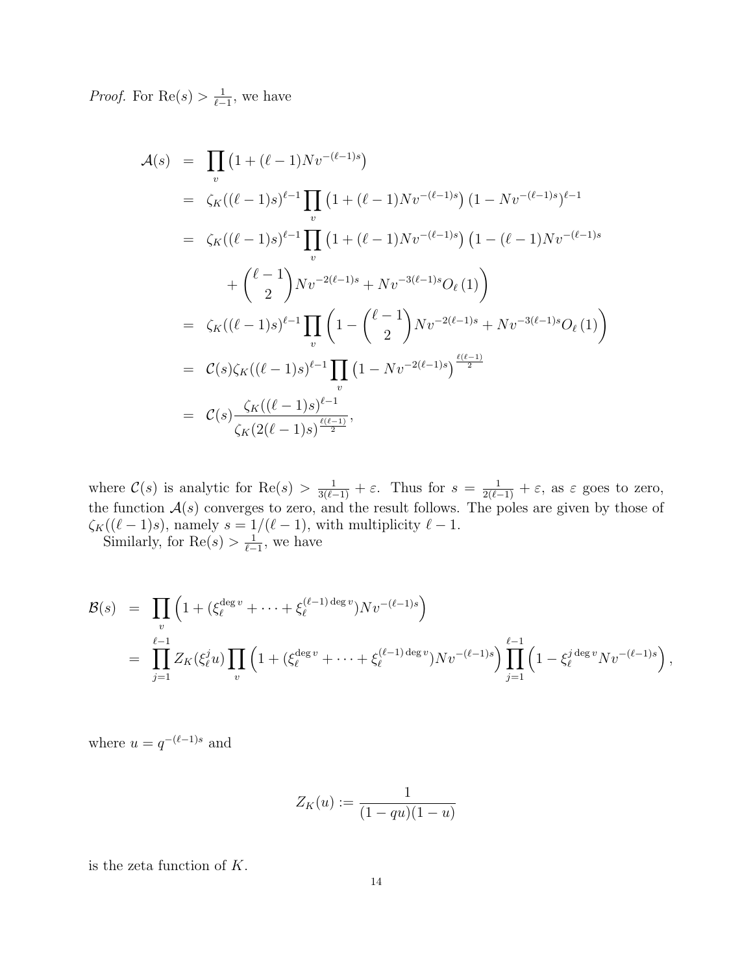*Proof.* For  $\text{Re}(s) > \frac{1}{\ell}$  $\frac{1}{\ell-1}$ , we have

$$
\begin{split}\n\mathcal{A}(s) &= \prod_{v} \left( 1 + (\ell - 1) N v^{-(\ell - 1)s} \right) \\
&= \zeta_K((\ell - 1)s)^{\ell - 1} \prod_{v} \left( 1 + (\ell - 1) N v^{-(\ell - 1)s} \right) (1 - N v^{-(\ell - 1)s})^{\ell - 1} \\
&= \zeta_K((\ell - 1)s)^{\ell - 1} \prod_{v} \left( 1 + (\ell - 1) N v^{-(\ell - 1)s} \right) \left( 1 - (\ell - 1) N v^{-(\ell - 1)s} \right. \\
&\quad + \left( \frac{\ell - 1}{2} \right) N v^{-2(\ell - 1)s} + N v^{-3(\ell - 1)s} O_{\ell}(1) \\
&= \zeta_K((\ell - 1)s)^{\ell - 1} \prod_{v} \left( 1 - \binom{\ell - 1}{2} N v^{-2(\ell - 1)s} + N v^{-3(\ell - 1)s} O_{\ell}(1) \right) \\
&= \mathcal{C}(s) \zeta_K((\ell - 1)s)^{\ell - 1} \prod_{v} \left( 1 - N v^{-2(\ell - 1)s} \right) \frac{\ell(\ell - 1)}{2} \\
&= \mathcal{C}(s) \frac{\zeta_K((\ell - 1)s)^{\ell - 1}}{\zeta_K(2(\ell - 1)s)^{\ell - 2}},\n\end{split}
$$

where  $\mathcal{C}(s)$  is analytic for  $\text{Re}(s) > \frac{1}{3(\ell-1)} + \varepsilon$ . Thus for  $s = \frac{1}{2(\ell-1)} + \varepsilon$ , as  $\varepsilon$  goes to zero, the function  $A(s)$  converges to zero, and the result follows. The poles are given by those of  $\zeta_K((\ell - 1)s)$ , namely  $s = 1/(\ell - 1)$ , with multiplicity  $\ell - 1$ . Similarly, for  $\text{Re}(s) > \frac{1}{\ell}$  $\frac{1}{\ell-1}$ , we have

$$
\mathcal{B}(s) = \prod_{v} \left( 1 + (\xi_{\ell}^{\deg v} + \dots + \xi_{\ell}^{(\ell-1) \deg v}) N v^{-(\ell-1)s} \right)
$$
  
= 
$$
\prod_{j=1}^{\ell-1} Z_K(\xi_{\ell}^j u) \prod_{v} \left( 1 + (\xi_{\ell}^{\deg v} + \dots + \xi_{\ell}^{(\ell-1) \deg v}) N v^{-(\ell-1)s} \right) \prod_{j=1}^{\ell-1} \left( 1 - \xi_{\ell}^j \deg^v N v^{-(\ell-1)s} \right),
$$

where  $u = q^{-(\ell-1)s}$  and

$$
Z_K(u) := \frac{1}{(1 - qu)(1 - u)}
$$

is the zeta function of  $K$ .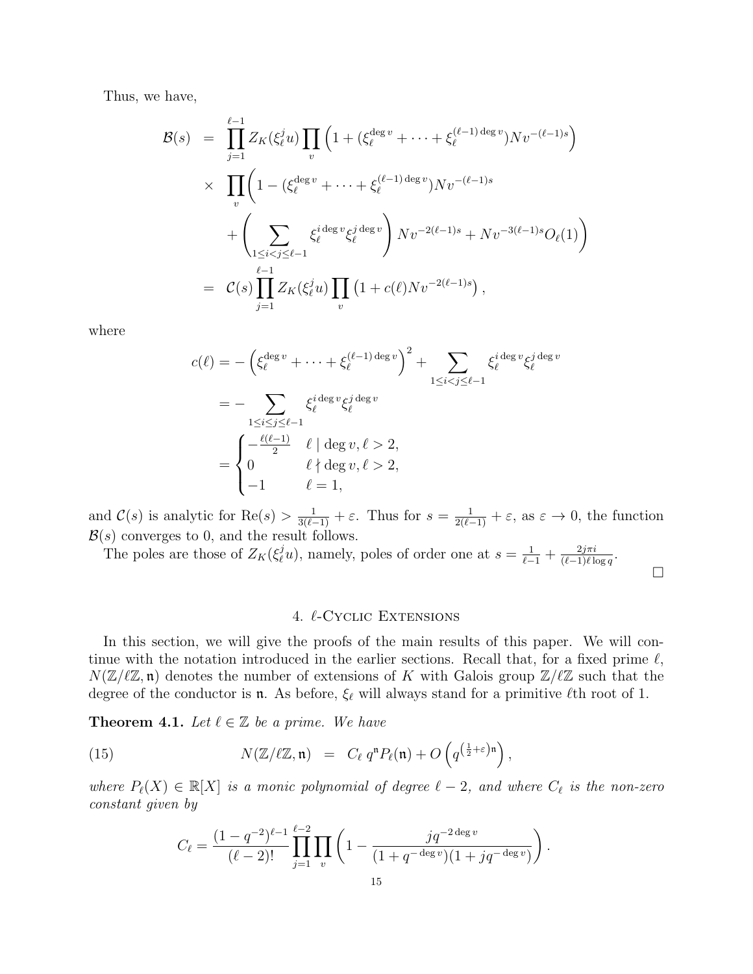Thus, we have,

$$
\mathcal{B}(s) = \prod_{j=1}^{\ell-1} Z_K(\xi_{\ell}^j u) \prod_v \left( 1 + (\xi_{\ell}^{\deg v} + \dots + \xi_{\ell}^{(\ell-1) \deg v}) N v^{-(\ell-1)s} \right)
$$
  
 
$$
\times \prod_v \left( 1 - (\xi_{\ell}^{\deg v} + \dots + \xi_{\ell}^{(\ell-1) \deg v}) N v^{-(\ell-1)s}
$$
  
 
$$
+ \left( \sum_{1 \leq i < j \leq \ell-1} \xi_{\ell}^{i \deg v} \xi_{\ell}^{j \deg v} \right) N v^{-2(\ell-1)s} + N v^{-3(\ell-1)s} O_{\ell}(1) \right)
$$
  
\n
$$
= C(s) \prod_{j=1}^{\ell-1} Z_K(\xi_{\ell}^j u) \prod_v \left( 1 + c(\ell) N v^{-2(\ell-1)s} \right),
$$

where

$$
c(\ell) = -\left(\xi_{\ell}^{\deg v} + \dots + \xi_{\ell}^{(\ell-1)\deg v}\right)^2 + \sum_{1 \leq i < j \leq \ell-1} \xi_{\ell}^{i \deg v} \xi_{\ell}^{j \deg v}
$$
\n
$$
= -\sum_{1 \leq i \leq j \leq \ell-1} \xi_{\ell}^{i \deg v} \xi_{\ell}^{j \deg v}
$$
\n
$$
= \begin{cases}\n-\frac{\ell(\ell-1)}{2} & \ell \mid \deg v, \ell > 2, \\
0 & \ell \nmid \deg v, \ell > 2, \\
-1 & \ell = 1,\n\end{cases}
$$

and  $\mathcal{C}(s)$  is analytic for  $\text{Re}(s) > \frac{1}{3(\ell-1)} + \varepsilon$ . Thus for  $s = \frac{1}{2(\ell-1)} + \varepsilon$ , as  $\varepsilon \to 0$ , the function  $\mathcal{B}(s)$  converges to 0, and the result follows.

The poles are those of  $Z_K(\xi_\ell^j u)$ , namely, poles of order one at  $s = \frac{1}{\ell-1} + \frac{2j\pi i}{(\ell-1)\ell k}$  $\frac{2j\pi i}{(\ell-1)\ell\log q}$ 

## $\Box$

# 4.  $\ell$ -Cyclic Extensions

In this section, we will give the proofs of the main results of this paper. We will continue with the notation introduced in the earlier sections. Recall that, for a fixed prime  $\ell$ ,  $N(\mathbb{Z}/\ell\mathbb{Z}, \mathfrak{n})$  denotes the number of extensions of K with Galois group  $\mathbb{Z}/\ell\mathbb{Z}$  such that the degree of the conductor is **n**. As before,  $\xi_{\ell}$  will always stand for a primitive  $\ell$ th root of 1.

**Theorem 4.1.** Let  $\ell \in \mathbb{Z}$  be a prime. We have

(15) 
$$
N(\mathbb{Z}/\ell\mathbb{Z},\mathfrak{n}) = C_{\ell} q^{n} P_{\ell}(\mathfrak{n}) + O\left(q^{\left(\frac{1}{2}+\varepsilon\right)\mathfrak{n}}\right),
$$

where  $P_{\ell}(X) \in \mathbb{R}[X]$  is a monic polynomial of degree  $\ell - 2$ , and where  $C_{\ell}$  is the non-zero constant given by

$$
C_{\ell} = \frac{(1 - q^{-2})^{\ell - 1}}{(\ell - 2)!} \prod_{j=1}^{\ell - 2} \prod_v \left(1 - \frac{jq^{-2 \deg v}}{(1 + q^{-\deg v})(1 + jq^{-\deg v})}\right).
$$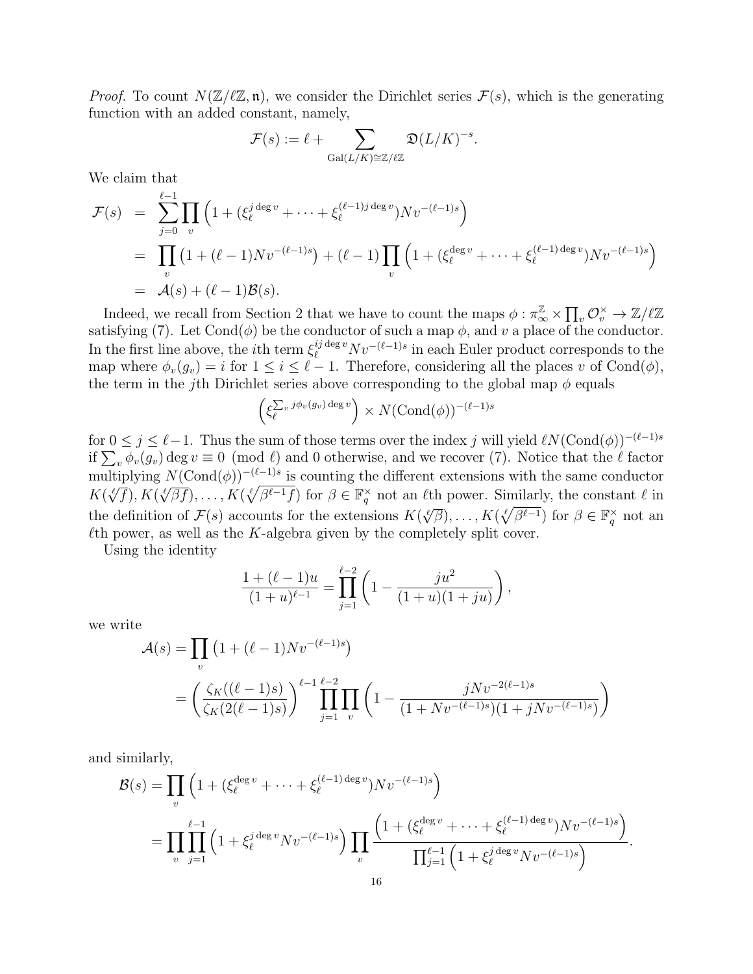*Proof.* To count  $N(\mathbb{Z}/\ell\mathbb{Z}, \mathfrak{n})$ , we consider the Dirichlet series  $\mathcal{F}(s)$ , which is the generating function with an added constant, namely,

$$
\mathcal{F}(s) := \ell + \sum_{\text{Gal}(L/K) \cong \mathbb{Z}/\ell\mathbb{Z}} \mathfrak{D}(L/K)^{-s}.
$$

We claim that

$$
\mathcal{F}(s) = \sum_{j=0}^{\ell-1} \prod_{v} \left( 1 + (\xi_{\ell}^{j \deg v} + \dots + \xi_{\ell}^{(\ell-1)j \deg v}) N v^{-(\ell-1)s} \right)
$$
  
= 
$$
\prod_{v} \left( 1 + (\ell-1) N v^{-(\ell-1)s} \right) + (\ell-1) \prod_{v} \left( 1 + (\xi_{\ell}^{\deg v} + \dots + \xi_{\ell}^{(\ell-1) \deg v}) N v^{-(\ell-1)s} \right)
$$
  
= 
$$
\mathcal{A}(s) + (\ell-1) \mathcal{B}(s).
$$

Indeed, we recall from Section 2 that we have to count the maps  $\phi: \pi_{\infty}^{\mathbb{Z}} \times \prod_{v} \mathcal{O}_{v}^{\times} \to \mathbb{Z}/\ell\mathbb{Z}$ satisfying (7). Let  $Cond(\phi)$  be the conductor of such a map  $\phi$ , and v a place of the conductor. In the first line above, the *i*<sup>th</sup> term  $\xi_{\ell}^{ij \deg v} N v^{-(\ell-1)s}$  in each Euler product corresponds to the map where  $\phi_v(g_v) = i$  for  $1 \leq i \leq \ell - 1$ . Therefore, considering all the places v of Cond( $\phi$ ), the term in the j<sup>th</sup> Dirichlet series above corresponding to the global map  $\phi$  equals

$$
\left(\xi_{\ell}^{\sum_{v} j\phi_{v}(g_v) \deg v}\right) \times N(\text{Cond}(\phi))^{-(\ell-1)s}
$$

for  $0 \leq j \leq \ell-1$ . Thus the sum of those terms over the index j will yield  $\ell N(\text{Cond}(\phi))^{-(\ell-1)s}$ if  $\sum_{v} \phi_{v}(g_{v})$  deg  $v \equiv 0 \pmod{\ell}$  and 0 otherwise, and we recover (7). Notice that the  $\ell$  factor multiplying  $N(\text{Cond}(\phi))^{-(\ell-1)s}$  is counting the different extensions with the same conductor  $K(\ell/\ell)$ ,  $K(\ell/\ell)\geq K(\ell/\ell+1)$  for  $\beta \in \mathbb{R}^\times$  not an  $\ell$ <sup>th</sup> power. Similarly, the constant  $\ell$  in  $K(\sqrt[\ell]{f}), K(\sqrt[\ell]{\beta f}), \ldots, K(\sqrt[\ell]{\beta^{\ell-1}f})$  for  $\beta \in \mathbb{F}_q^{\times}$  not an  $\ell$ th power. Similarly, the constant  $\ell$  in the definition of  $\mathcal{F}(s)$  accounts for the extensions  $K(\sqrt[\ell]{\beta}), \ldots, K(\sqrt[\ell]{\beta^{\ell-1}})$  for  $\beta \in \mathbb{F}_q^{\times}$  not and the definition of  $\mathcal{F}(s)$  accounts for the extensions  $K(\sqrt[\ell]{\beta}), \ldots, K(\sqrt[\ell]{\beta^{\ell-1}})$  for  $\beta \in \mathbb{F}_$  $\ell$ th power, as well as the K-algebra given by the completely split cover.

Using the identity

$$
\frac{1 + (\ell - 1)u}{(1 + u)^{\ell - 1}} = \prod_{j=1}^{\ell - 2} \left( 1 - \frac{ju^2}{(1 + u)(1 + ju)} \right),
$$

we write

$$
\mathcal{A}(s) = \prod_{v} \left( 1 + (\ell - 1) N v^{-(\ell - 1)s} \right)
$$
  
=  $\left( \frac{\zeta_K((\ell - 1)s)}{\zeta_K(2(\ell - 1)s)} \right)^{\ell - 1} \prod_{j=1}^{\ell - 2} \prod_{v} \left( 1 - \frac{j N v^{-2(\ell - 1)s}}{(1 + N v^{-(\ell - 1)s})(1 + j N v^{-(\ell - 1)s})} \right)$ 

and similarly,

$$
\mathcal{B}(s) = \prod_{v} \left( 1 + (\xi_{\ell}^{\deg v} + \dots + \xi_{\ell}^{(\ell-1) \deg v}) N v^{-(\ell-1)s} \right)
$$
  
= 
$$
\prod_{v} \prod_{j=1}^{\ell-1} \left( 1 + \xi_{\ell}^{j \deg v} N v^{-(\ell-1)s} \right) \prod_{v} \frac{\left( 1 + (\xi_{\ell}^{\deg v} + \dots + \xi_{\ell}^{(\ell-1) \deg v}) N v^{-(\ell-1)s} \right)}{\prod_{j=1}^{\ell-1} \left( 1 + \xi_{\ell}^{j \deg v} N v^{-(\ell-1)s} \right)}.
$$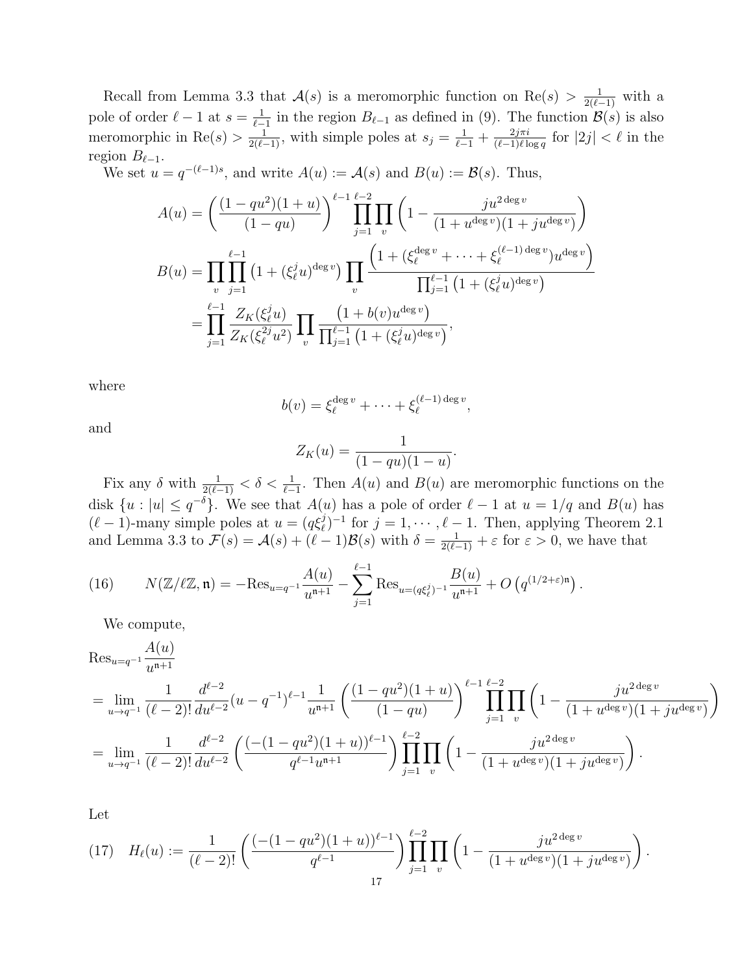Recall from Lemma 3.3 that  $\mathcal{A}(s)$  is a meromorphic function on Re $(s) > \frac{1}{2(\ell-1)}$  with a pole of order  $\ell - 1$  at  $s = \frac{1}{\ell - 1}$  $\frac{1}{\ell-1}$  in the region  $B_{\ell-1}$  as defined in (9). The function  $\mathcal{B}(s)$  is also meromorphic in Re(s) >  $\frac{1}{2(\ell-1)}$ , with simple poles at  $s_j = \frac{1}{\ell-1} + \frac{2j\pi i}{(\ell-1)\ell k}$  $\frac{2j\pi i}{(\ell-1)\ell \log q}$  for  $|2j| < \ell$  in the region  $B_{\ell-1}$ .

We set  $u = q^{-(\ell-1)s}$ , and write  $A(u) := A(s)$  and  $B(u) := \mathcal{B}(s)$ . Thus,

$$
A(u) = \left(\frac{(1-qu^2)(1+u)}{(1-qu)}\right)^{\ell-1} \prod_{j=1}^{\ell-2} \prod_v \left(1 - \frac{ju^{2\deg v}}{(1+u^{\deg v})(1+ju^{\deg v})}\right)
$$
  
\n
$$
B(u) = \prod_v \prod_{j=1}^{\ell-1} \left(1 + (\xi_\ell^j u)^{\deg v}\right) \prod_v \frac{\left(1 + (\xi_\ell^{\deg v} + \dots + \xi_\ell^{(\ell-1)\deg v})u^{\deg v}\right)}{\prod_{j=1}^{\ell-1} \left(1 + (\xi_\ell^j u)^{\deg v}\right)}
$$
  
\n
$$
= \prod_{j=1}^{\ell-1} \frac{Z_K(\xi_\ell^j u)}{Z_K(\xi_\ell^{2j} u^2)} \prod_v \frac{\left(1 + b(v)u^{\deg v}\right)}{\prod_{j=1}^{\ell-1} \left(1 + (\xi_\ell^j u)^{\deg v}\right)},
$$

where

$$
b(v) = \xi_{\ell}^{\deg v} + \cdots + \xi_{\ell}^{(\ell-1)\deg v},
$$

and

$$
Z_K(u) = \frac{1}{(1 - qu)(1 - u)}.
$$

Fix any  $\delta$  with  $\frac{1}{2(\ell-1)} < \delta < \frac{1}{\ell-1}$ . Then  $A(u)$  and  $B(u)$  are meromorphic functions on the disk  $\{u : |u| \leq q^{-\delta}\}$ . We see that  $A(u)$  has a pole of order  $\ell - 1$  at  $u = 1/q$  and  $B(u)$  has  $(\ell - 1)$ -many simple poles at  $u = (q\xi_{\ell}^j)^{-1}$  for  $j = 1, \dots, \ell - 1$ . Then, applying Theorem 2.1 and Lemma 3.3 to  $\mathcal{F}(s) = \mathcal{A}(s) + (\ell - 1)\mathcal{B}(s)$  with  $\delta = \frac{1}{2(\ell-1)} + \varepsilon$  for  $\varepsilon > 0$ , we have that

(16) 
$$
N(\mathbb{Z}/\ell\mathbb{Z}, \mathfrak{n}) = -\text{Res}_{u=q^{-1}} \frac{A(u)}{u^{\mathfrak{n}+1}} - \sum_{j=1}^{\ell-1} \text{Res}_{u=(q\xi_{\ell}^{j})^{-1}} \frac{B(u)}{u^{\mathfrak{n}+1}} + O\left(q^{(1/2+\varepsilon)\mathfrak{n}}\right).
$$

We compute,

$$
\operatorname{Res}_{u=q^{-1}} \frac{A(u)}{u^{n+1}}
$$
\n
$$
= \lim_{u \to q^{-1}} \frac{1}{(\ell-2)!} \frac{d^{\ell-2}}{du^{\ell-2}} (u - q^{-1})^{\ell-1} \frac{1}{u^{n+1}} \left( \frac{(1 - qu^2)(1+u)}{(1-qu)} \right)^{\ell-1} \prod_{j=1}^{\ell-2} \prod_{v} \left( 1 - \frac{j u^{2 \deg v}}{(1+u^{\deg v})(1+j u^{\deg v})} \right)
$$
\n
$$
= \lim_{u \to q^{-1}} \frac{1}{(\ell-2)!} \frac{d^{\ell-2}}{du^{\ell-2}} \left( \frac{(-(1-qu^2)(1+u))^{\ell-1}}{q^{\ell-1} u^{n+1}} \right) \prod_{j=1}^{\ell-2} \prod_{v} \left( 1 - \frac{j u^{2 \deg v}}{(1+u^{\deg v})(1+j u^{\deg v})} \right).
$$

Let

$$
(17) \quad H_{\ell}(u) := \frac{1}{(\ell-2)!} \left( \frac{(-(1-qu^{2})(1+u))^{\ell-1}}{q^{\ell-1}} \right) \prod_{j=1}^{\ell-2} \prod_{v} \left( 1 - \frac{j u^{2 \deg v}}{(1+u^{\deg v})(1+ju^{\deg v})} \right).
$$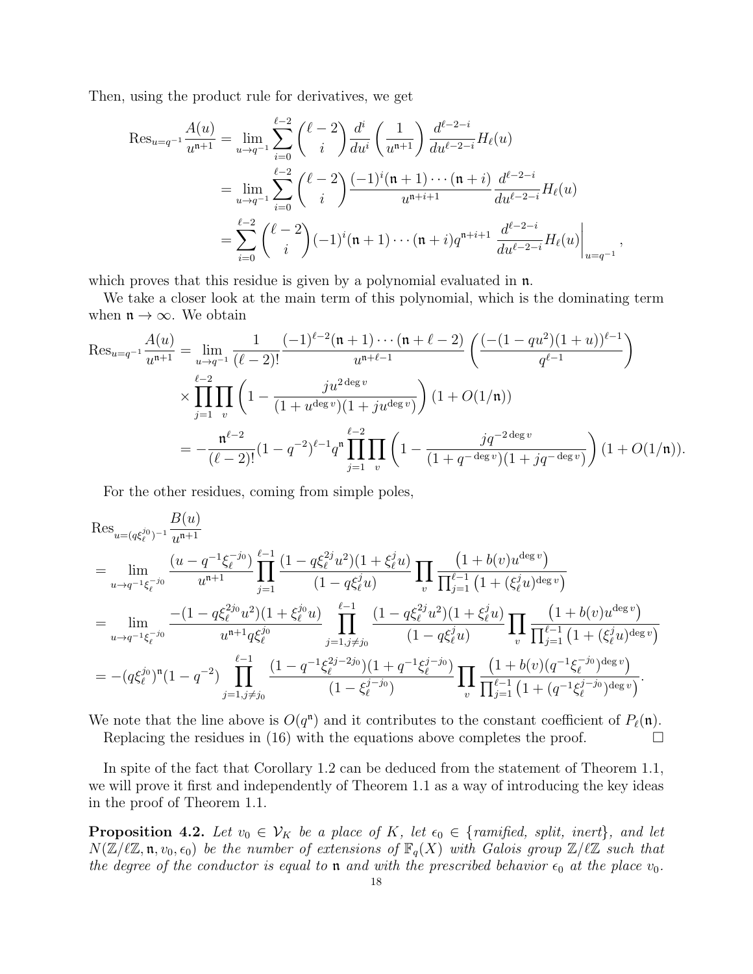Then, using the product rule for derivatives, we get

$$
\operatorname{Res}_{u=q^{-1}} \frac{A(u)}{u^{n+1}} = \lim_{u \to q^{-1}} \sum_{i=0}^{\ell-2} {\ell-2 \choose i} \frac{d^i}{du^i} \left(\frac{1}{u^{n+1}}\right) \frac{d^{\ell-2-i}}{du^{\ell-2-i}} H_\ell(u)
$$
  

$$
= \lim_{u \to q^{-1}} \sum_{i=0}^{\ell-2} {\ell-2 \choose i} \frac{(-1)^i (\mathfrak{n}+1) \cdots (\mathfrak{n}+i)}{u^{n+i+1}} \frac{d^{\ell-2-i}}{du^{\ell-2-i}} H_\ell(u)
$$
  

$$
= \sum_{i=0}^{\ell-2} {\ell-2 \choose i} (-1)^i (\mathfrak{n}+1) \cdots (\mathfrak{n}+i) q^{\mathfrak{n}+i+1} \frac{d^{\ell-2-i}}{du^{\ell-2-i}} H_\ell(u) \Big|_{u=q^{-1}},
$$

which proves that this residue is given by a polynomial evaluated in  $\mathfrak{n}$ .

We take a closer look at the main term of this polynomial, which is the dominating term when  $\mathfrak{n} \to \infty$ . We obtain

$$
\operatorname{Res}_{u=q^{-1}} \frac{A(u)}{u^{n+1}} = \lim_{u \to q^{-1}} \frac{1}{(\ell-2)!} \frac{(-1)^{\ell-2} (n+1) \cdots (n+\ell-2)}{u^{n+\ell-1}} \left( \frac{(- (1-qu^2)(1+u))^{\ell-1}}{q^{\ell-1}} \right)
$$
  
\$\times \prod\_{j=1}^{\ell-2} \prod\_{v} \left(1 - \frac{j u^{2 \deg v}}{(1+u^{\deg v})(1+j u^{\deg v})}\right) (1+O(1/n))\$  

$$
= -\frac{n^{\ell-2}}{(\ell-2)!} (1-q^{-2})^{\ell-1} q^n \prod_{j=1}^{\ell-2} \prod_{v} \left(1 - \frac{j q^{-2 \deg v}}{(1+q^{-\deg v})(1+j q^{-\deg v})}\right) (1+O(1/n)).
$$

For the other residues, coming from simple poles,

$$
\operatorname{Res}_{u=(q\xi_{\ell}^{j_0})^{-1}} \frac{B(u)}{u^{n+1}} \n= \lim_{u \to q^{-1}\xi_{\ell}^{-j_0}} \frac{(u - q^{-1}\xi_{\ell}^{-j_0})}{u^{n+1}} \prod_{j=1}^{\ell-1} \frac{(1 - q\xi_{\ell}^{2j}u^2)(1 + \xi_{\ell}^{j}u)}{(1 - q\xi_{\ell}^{j}u)} \prod_{v} \frac{(1 + b(v)u^{\deg v})}{\prod_{j=1}^{\ell-1} (1 + (\xi_{\ell}^{j}u)^{\deg v})} \n= \lim_{u \to q^{-1}\xi_{\ell}^{-j_0}} \frac{-(1 - q\xi_{\ell}^{2j_0}u^2)(1 + \xi_{\ell}^{j_0}u)}{u^{n+1}q\xi_{\ell}^{j_0}} \prod_{j=1, j \neq j_0}^{\ell-1} \frac{(1 - q\xi_{\ell}^{2j}u^2)(1 + \xi_{\ell}^{j}u)}{(1 - q\xi_{\ell}^{j}u)} \prod_{v} \frac{(1 + b(v)u^{\deg v})}{\prod_{j=1}^{\ell-1} (1 + (\xi_{\ell}^{j}u)^{\deg v})} \n= -(q\xi_{\ell}^{j_0})^n(1 - q^{-2}) \prod_{j=1, j \neq j_0}^{\ell-1} \frac{(1 - q^{-1}\xi_{\ell}^{2j-2j_0})(1 + q^{-1}\xi_{\ell}^{j-j_0})}{(1 - \xi_{\ell}^{j-j_0})} \prod_{v} \frac{(1 + b(v)(q^{-1}\xi_{\ell}^{-j_0})^{\deg v})}{\prod_{j=1}^{\ell-1} (1 + (q^{-1}\xi_{\ell}^{j-j_0})^{\deg v})}.
$$

We note that the line above is  $O(q^n)$  and it contributes to the constant coefficient of  $P_\ell(\mathfrak{n})$ . Replacing the residues in (16) with the equations above completes the proof.  $\Box$ 

In spite of the fact that Corollary 1.2 can be deduced from the statement of Theorem 1.1, we will prove it first and independently of Theorem 1.1 as a way of introducing the key ideas in the proof of Theorem 1.1.

**Proposition 4.2.** Let  $v_0 \in V_K$  be a place of K, let  $\epsilon_0 \in \{\text{ramified, split, inert}\},\}$  and let  $N(\mathbb{Z}/\ell\mathbb{Z}, \mathfrak{n}, v_0, \epsilon_0)$  be the number of extensions of  $\mathbb{F}_q(X)$  with Galois group  $\mathbb{Z}/\ell\mathbb{Z}$  such that the degree of the conductor is equal to **n** and with the prescribed behavior  $\epsilon_0$  at the place  $v_0$ .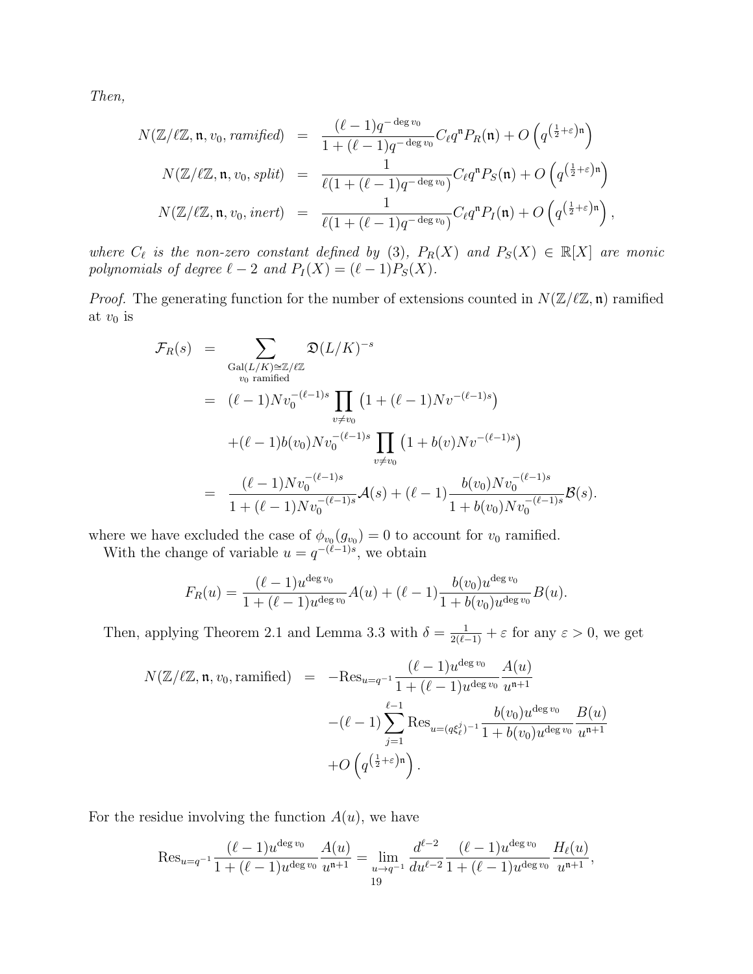Then,

$$
N(\mathbb{Z}/\ell\mathbb{Z}, \mathfrak{n}, v_0, ramified) = \frac{(\ell-1)q^{-\deg v_0}}{1+(\ell-1)q^{-\deg v_0}} C_{\ell}q^{\mathfrak{n}} P_R(\mathfrak{n}) + O\left(q^{\left(\frac{1}{2}+\varepsilon\right)\mathfrak{n}}\right)
$$
  

$$
N(\mathbb{Z}/\ell\mathbb{Z}, \mathfrak{n}, v_0, split) = \frac{1}{\ell(1+(\ell-1)q^{-\deg v_0})} C_{\ell}q^{\mathfrak{n}} P_S(\mathfrak{n}) + O\left(q^{\left(\frac{1}{2}+\varepsilon\right)\mathfrak{n}}\right)
$$
  

$$
N(\mathbb{Z}/\ell\mathbb{Z}, \mathfrak{n}, v_0, inert) = \frac{1}{\ell(1+(\ell-1)q^{-\deg v_0})} C_{\ell}q^{\mathfrak{n}} P_I(\mathfrak{n}) + O\left(q^{\left(\frac{1}{2}+\varepsilon\right)\mathfrak{n}}\right),
$$

where  $C_{\ell}$  is the non-zero constant defined by (3),  $P_R(X)$  and  $P_S(X) \in \mathbb{R}[X]$  are monic polynomials of degree  $\ell - 2$  and  $P_I (X) = (\ell - 1)P_S (X)$ .

*Proof.* The generating function for the number of extensions counted in  $N(\mathbb{Z}/\ell\mathbb{Z}, \mathfrak{n})$  ramified at  $v_0$  is

$$
\mathcal{F}_R(s) = \sum_{\substack{\text{Gal}(L/K) \cong \mathbb{Z}/\ell\mathbb{Z} \\ v_0 \text{ ramified}}} \mathfrak{D}(L/K)^{-s}} \mathfrak{D}(L/K)^{-s}
$$
\n
$$
= (\ell - 1) N v_0^{-(\ell - 1)s} \prod_{v \neq v_0} \left(1 + (\ell - 1) N v^{-(\ell - 1)s}\right)
$$
\n
$$
+ (\ell - 1) b(v_0) N v_0^{-(\ell - 1)s} \prod_{v \neq v_0} \left(1 + b(v) N v^{-(\ell - 1)s}\right)
$$
\n
$$
= \frac{(\ell - 1) N v_0^{-(\ell - 1)s}}{1 + (\ell - 1) N v_0^{-(\ell - 1)s}} \mathcal{A}(s) + (\ell - 1) \frac{b(v_0) N v_0^{-(\ell - 1)s}}{1 + b(v_0) N v_0^{-(\ell - 1)s}} \mathcal{B}(s).
$$

where we have excluded the case of  $\phi_{v_0}(g_{v_0}) = 0$  to account for  $v_0$  ramified.

With the change of variable  $u = q^{-(\ell-1)s}$ , we obtain

$$
F_R(u) = \frac{(\ell-1)u^{\deg v_0}}{1+(\ell-1)u^{\deg v_0}}A(u) + (\ell-1)\frac{b(v_0)u^{\deg v_0}}{1+b(v_0)u^{\deg v_0}}B(u).
$$

Then, applying Theorem 2.1 and Lemma 3.3 with  $\delta = \frac{1}{2(\ell-1)} + \varepsilon$  for any  $\varepsilon > 0$ , we get

$$
N(\mathbb{Z}/\ell\mathbb{Z}, \mathfrak{n}, v_0, \text{ramified}) = -\text{Res}_{u=q^{-1}} \frac{(\ell-1)u^{\deg v_0}}{1+(\ell-1)u^{\deg v_0}} \frac{A(u)}{u^{\mathfrak{n}+1}} -(\ell-1) \sum_{j=1}^{\ell-1} \text{Res}_{u=(q\xi_{\ell}^{j})^{-1}} \frac{b(v_0)u^{\deg v_0}}{1+b(v_0)u^{\deg v_0}} \frac{B(u)}{u^{\mathfrak{n}+1}} +O\left(q^{\left(\frac{1}{2}+\varepsilon\right)\mathfrak{n}}\right).
$$

For the residue involving the function  $A(u)$ , we have

$$
\operatorname{Res}_{u=q^{-1}}\frac{(\ell-1)u^{\deg v_0}}{1+(\ell-1)u^{\deg v_0}}\frac{A(u)}{u^{\mathfrak{n}+1}}=\lim_{\substack{u\to q^{-1}\\19}}\frac{d^{\ell-2}}{du^{\ell-2}}\frac{(\ell-1)u^{\deg v_0}}{1+(\ell-1)u^{\deg v_0}}\frac{H_{\ell}(u)}{u^{\mathfrak{n}+1}},
$$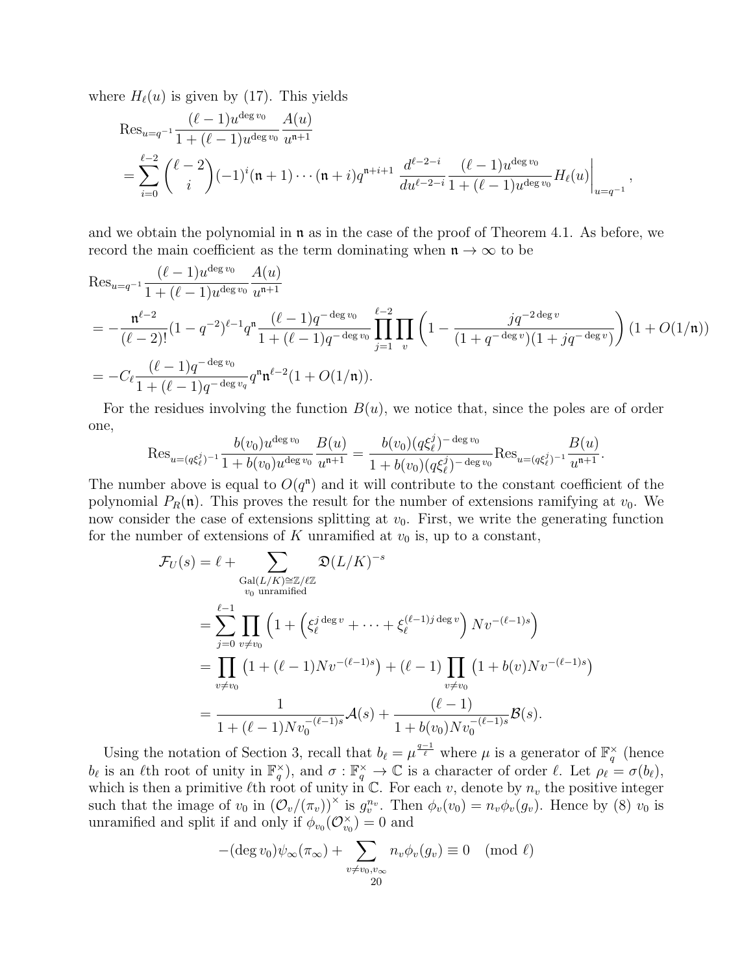where  $H_{\ell}(u)$  is given by (17). This yields

$$
\operatorname{Res}_{u=q^{-1}} \frac{(\ell-1)u^{\deg v_0}}{1+(\ell-1)u^{\deg v_0}} \frac{A(u)}{u^{\mathfrak{n}+1}} \n= \sum_{i=0}^{\ell-2} {\ell-2 \choose i} (-1)^i (\mathfrak{n}+1) \cdots (\mathfrak{n}+i) q^{\mathfrak{n}+i+1} \frac{d^{\ell-2-i}}{du^{\ell-2-i}} \frac{(\ell-1)u^{\deg v_0}}{1+(\ell-1)u^{\deg v_0}} H_{\ell}(u) \bigg|_{u=q^{-1}},
$$

and we obtain the polynomial in  $\mathfrak n$  as in the case of the proof of Theorem 4.1. As before, we record the main coefficient as the term dominating when  $\mathfrak{n} \to \infty$  to be

$$
\operatorname{Res}_{u=q^{-1}} \frac{(\ell-1)u^{\deg v_0}}{1+(\ell-1)u^{\deg v_0}} \frac{A(u)}{u^{\mathfrak{n}+1}}
$$
\n
$$
= -\frac{\mathfrak{n}^{\ell-2}}{(\ell-2)!} (1-q^{-2})^{\ell-1} q^{\mathfrak{n}} \frac{(\ell-1)q^{-\deg v_0}}{1+(\ell-1)q^{-\deg v_0}} \prod_{j=1}^{\ell-2} \prod_v \left(1 - \frac{jq^{-2\deg v}}{(1+q^{-\deg v})(1+jq^{-\deg v})}\right) (1+O(1/\mathfrak{n}))
$$
\n
$$
= -C_{\ell} \frac{(\ell-1)q^{-\deg v_0}}{1+(\ell-1)q^{-\deg v_q}} q^{\mathfrak{n}} \mathfrak{n}^{\ell-2} (1+O(1/\mathfrak{n})).
$$

For the residues involving the function  $B(u)$ , we notice that, since the poles are of order one,

$$
\operatorname{Res}_{u=(q\xi_{\ell}^{j})^{-1}} \frac{b(v_{0})u^{\deg v_{0}}}{1+b(v_{0})u^{\deg v_{0}}} \frac{B(u)}{u^{\mathfrak{n}+1}} = \frac{b(v_{0})(q\xi_{\ell}^{j})^{-\deg v_{0}}}{1+b(v_{0})(q\xi_{\ell}^{j})^{-\deg v_{0}}} \operatorname{Res}_{u=(q\xi_{\ell}^{j})^{-1}} \frac{B(u)}{u^{\mathfrak{n}+1}}.
$$

The number above is equal to  $O(q^n)$  and it will contribute to the constant coefficient of the polynomial  $P_R(\mathfrak{n})$ . This proves the result for the number of extensions ramifying at  $v_0$ . We now consider the case of extensions splitting at  $v_0$ . First, we write the generating function for the number of extensions of K unramified at  $v_0$  is, up to a constant,

$$
\mathcal{F}_U(s) = \ell + \sum_{\substack{\text{Gal}(L/K) \cong \mathbb{Z}/\ell\mathbb{Z} \\ v_0 \text{ unramified}}} \mathfrak{D}(L/K)^{-s}
$$
\n
$$
= \sum_{j=0}^{\ell-1} \prod_{v \neq v_0} \left( 1 + \left( \xi_{\ell}^{j \deg v} + \dots + \xi_{\ell}^{(\ell-1)j \deg v} \right) Nv^{-(\ell-1)s} \right)
$$
\n
$$
= \prod_{v \neq v_0} \left( 1 + (\ell-1)Nv^{-(\ell-1)s} \right) + (\ell-1) \prod_{v \neq v_0} \left( 1 + b(v)Nv^{-(\ell-1)s} \right)
$$
\n
$$
= \frac{1}{1 + (\ell-1)Nv_0^{-(\ell-1)s}} \mathcal{A}(s) + \frac{(\ell-1)}{1 + b(v_0)Nv_0^{-(\ell-1)s}} \mathcal{B}(s).
$$

Using the notation of Section 3, recall that  $b_\ell = \mu^{\frac{q-1}{\ell}}$  where  $\mu$  is a generator of  $\mathbb{F}_q^{\times}$  (hence  $b_{\ell}$  is an  $\ell$ th root of unity in  $\mathbb{F}_q^{\times}$ ), and  $\sigma : \mathbb{F}_q^{\times} \to \mathbb{C}$  is a character of order  $\ell$ . Let  $\rho_{\ell} = \sigma(b_{\ell}),$ which is then a primitive  $\ell$ th root of unity in C. For each v, denote by  $n_v$  the positive integer such that the image of  $v_0$  in  $(\mathcal{O}_v/(\pi_v))^{\times}$  is  $g_v^{n_v}$ . Then  $\phi_v(v_0) = n_v \phi_v(g_v)$ . Hence by (8)  $v_0$  is unramified and split if and only if  $\phi_{v_0}(\mathcal{O}_{v_0}^{\times}) = 0$  and

$$
-(\deg v_0)\psi_\infty(\pi_\infty)+\sum_{\substack{v\neq v_0,v_\infty\\20}}n_v\phi_v(g_v)\equiv 0\pmod{\ell}
$$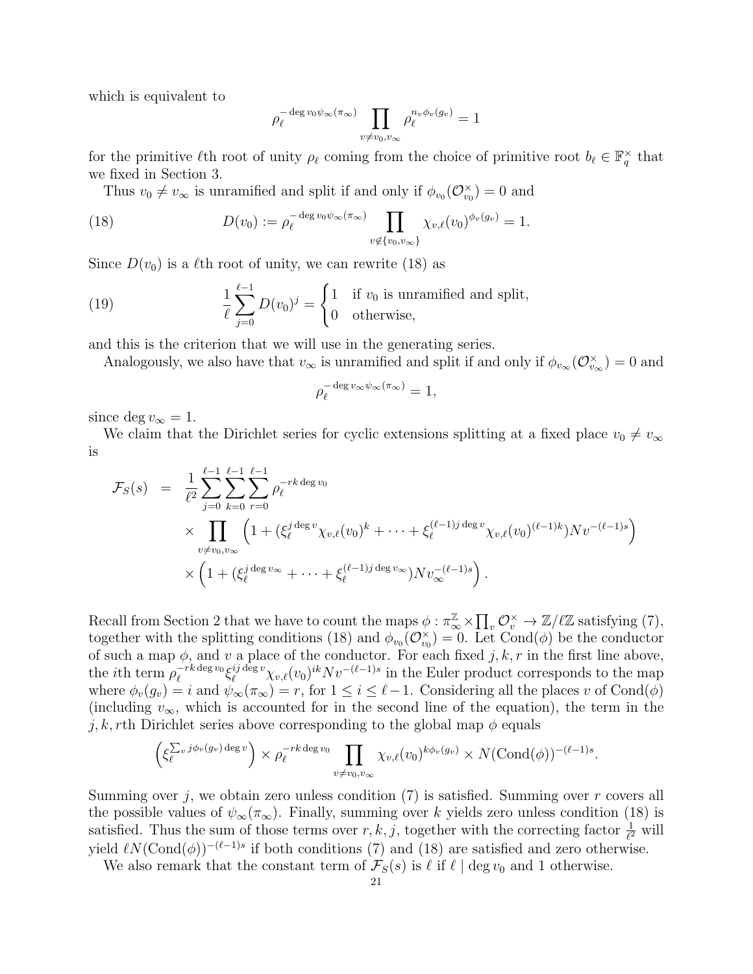which is equivalent to

$$
\rho_{\ell}^{-\deg v_0\psi_{\infty}(\pi_{\infty})}\prod_{v\neq v_0,v_{\infty}}\rho_{\ell}^{n_v\phi_v(g_v)}=1
$$

for the primitive  $\ell$ th root of unity  $\rho_{\ell}$  coming from the choice of primitive root  $b_{\ell} \in \mathbb{F}_q^{\times}$  that we fixed in Section 3.

Thus  $v_0 \neq v_\infty$  is unramified and split if and only if  $\phi_{v_0}(\mathcal{O}_{v_0}^\times) = 0$  and

(18) 
$$
D(v_0) := \rho_{\ell}^{-\deg v_0 \psi_{\infty}(\pi_{\infty})} \prod_{v \notin \{v_0, v_{\infty}\}} \chi_{v,\ell}(v_0)^{\phi_v(g_v)} = 1.
$$

Since  $D(v_0)$  is a  $\ell$ th root of unity, we can rewrite (18) as

(19) 
$$
\frac{1}{\ell} \sum_{j=0}^{\ell-1} D(v_0)^j = \begin{cases} 1 & \text{if } v_0 \text{ is unramified and split,} \\ 0 & \text{otherwise,} \end{cases}
$$

and this is the criterion that we will use in the generating series.

Analogously, we also have that  $v_{\infty}$  is unramified and split if and only if  $\phi_{v_{\infty}}(\mathcal{O}_{v_{\infty}}^{\times})=0$  and

$$
\rho_{\ell}^{-\deg v_{\infty}\psi_{\infty}(\pi_{\infty})}=1,
$$

since deg  $v_{\infty} = 1$ .

We claim that the Dirichlet series for cyclic extensions splitting at a fixed place  $v_0 \neq v_\infty$ is

$$
\mathcal{F}_{S}(s) = \frac{1}{\ell^{2}} \sum_{j=0}^{\ell-1} \sum_{k=0}^{\ell-1} \sum_{r=0}^{\ell-1} \rho_{\ell}^{-rk \deg v_{0}} \times \prod_{v \neq v_{0}, v_{\infty}} \left( 1 + (\xi_{\ell}^{j \deg v} \chi_{v,\ell}(v_{0})^{k} + \dots + \xi_{\ell}^{(\ell-1)j \deg v} \chi_{v,\ell}(v_{0})^{(\ell-1)k}) N v^{-(\ell-1)s} \right) \times \left( 1 + (\xi_{\ell}^{j \deg v_{\infty}} + \dots + \xi_{\ell}^{(\ell-1)j \deg v_{\infty}}) N v_{\infty}^{-(\ell-1)s} \right).
$$

Recall from Section 2 that we have to count the maps  $\phi: \pi_{\infty}^{\mathbb{Z}} \times \prod_{v} \mathcal{O}_{v}^{\times} \to \mathbb{Z}/\ell\mathbb{Z}$  satisfying (7), together with the splitting conditions (18) and  $\phi_{v_0}(\mathcal{O}_{v_0}^{\times})=0$ . Let Cond $(\phi)$  be the conductor of such a map  $\phi$ , and v a place of the conductor. For each fixed j, k, r in the first line above, the *i*th term  $\rho_{\ell}^{-rk \deg v_0}$  $e^{-rk\deg v_0}\xi_\ell^{ij\deg v}\chi_{v,\ell}(v_0)^{ik}Nv^{-(\ell-1)s}$  in the Euler product corresponds to the map where  $\phi_v(g_v) = i$  and  $\psi_\infty(\pi_\infty) = r$ , for  $1 \leq i \leq \ell - 1$ . Considering all the places v of Cond $(\phi)$ (including  $v_{\infty}$ , which is accounted for in the second line of the equation), the term in the j, k, rth Dirichlet series above corresponding to the global map  $\phi$  equals

$$
\left(\xi_{\ell}^{\sum_v j\phi_v(g_v)\deg v}\right) \times \rho_{\ell}^{-rk \deg v_0} \prod_{v \neq v_0, v_{\infty}} \chi_{v,\ell}(v_0)^{k\phi_v(g_v)} \times N(\text{Cond}(\phi))^{-(\ell-1)s}.
$$

Summing over j, we obtain zero unless condition  $(7)$  is satisfied. Summing over r covers all the possible values of  $\psi_{\infty}(\pi_{\infty})$ . Finally, summing over k yields zero unless condition (18) is satisfied. Thus the sum of those terms over  $r, k, j$ , together with the correcting factor  $\frac{1}{\ell^2}$  will yield  $\ell N(\text{Cond}(\phi))^{-(\ell-1)s}$  if both conditions (7) and (18) are satisfied and zero otherwise.

We also remark that the constant term of  $\mathcal{F}_S(s)$  is  $\ell$  if  $\ell \mid \text{deg } v_0$  and 1 otherwise.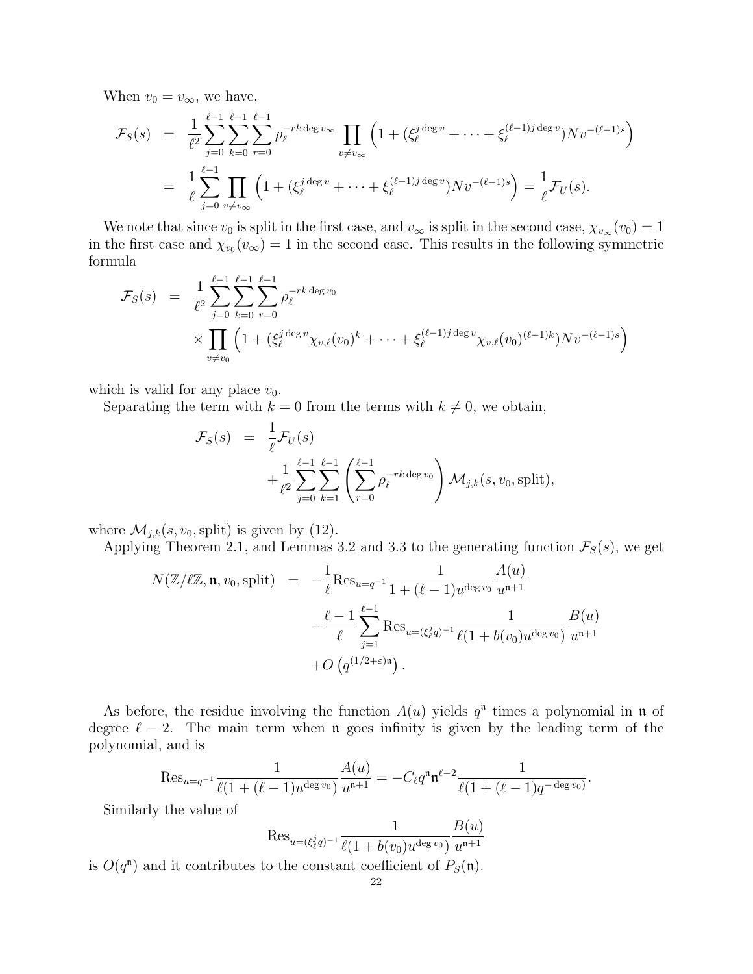When  $v_0 = v_{\infty}$ , we have,

$$
\mathcal{F}_S(s) = \frac{1}{\ell^2} \sum_{j=0}^{\ell-1} \sum_{k=0}^{\ell-1} \sum_{r=0}^{\ell-1} \rho_\ell^{-rk \deg v_\infty} \prod_{v \neq v_\infty} \left( 1 + (\xi_\ell^{j \deg v} + \dots + \xi_\ell^{(\ell-1)j \deg v}) N v^{-(\ell-1)s} \right)
$$
  
= 
$$
\frac{1}{\ell} \sum_{j=0}^{\ell-1} \prod_{v \neq v_\infty} \left( 1 + (\xi_\ell^{j \deg v} + \dots + \xi_\ell^{(\ell-1)j \deg v}) N v^{-(\ell-1)s} \right) = \frac{1}{\ell} \mathcal{F}_U(s).
$$

We note that since  $v_0$  is split in the first case, and  $v_{\infty}$  is split in the second case,  $\chi_{v_{\infty}}(v_0) = 1$ in the first case and  $\chi_{v_0}(v_{\infty}) = 1$  in the second case. This results in the following symmetric formula

$$
\mathcal{F}_S(s) = \frac{1}{\ell^2} \sum_{j=0}^{\ell-1} \sum_{k=0}^{\ell-1} \sum_{r=0}^{\ell-1} \rho_\ell^{-rk \deg v_0} \times \prod_{v \neq v_0} \left( 1 + (\xi_\ell^{j \deg v} \chi_{v,\ell}(v_0)^k + \dots + \xi_\ell^{(\ell-1)j \deg v} \chi_{v,\ell}(v_0)^{(\ell-1)k} \right) Nv^{-(\ell-1)s} \right)
$$

which is valid for any place  $v_0$ .

Separating the term with  $k = 0$  from the terms with  $k \neq 0$ , we obtain,

$$
\mathcal{F}_S(s) = \frac{1}{\ell} \mathcal{F}_U(s)
$$
  
+ 
$$
\frac{1}{\ell^2} \sum_{j=0}^{\ell-1} \sum_{k=1}^{\ell-1} \left( \sum_{r=0}^{\ell-1} \rho_\ell^{-rk \deg v_0} \right) \mathcal{M}_{j,k}(s, v_0, \text{split}),
$$

where  $\mathcal{M}_{j,k}(s, v_0, \text{split})$  is given by (12).

Applying Theorem 2.1, and Lemmas 3.2 and 3.3 to the generating function  $\mathcal{F}_S(s)$ , we get

$$
N(\mathbb{Z}/\ell\mathbb{Z}, \mathfrak{n}, v_0, \text{split}) = -\frac{1}{\ell} \text{Res}_{u=q^{-1}} \frac{1}{1 + (\ell - 1)u^{\deg v_0}} \frac{A(u)}{u^{\mathfrak{n}+1}} -\frac{\ell - 1}{\ell} \sum_{j=1}^{\ell - 1} \text{Res}_{u=(\xi_{\ell}^j q)^{-1}} \frac{1}{\ell(1 + b(v_0)u^{\deg v_0})} \frac{B(u)}{u^{\mathfrak{n}+1}} + O(q^{(1/2 + \varepsilon)\mathfrak{n}}).
$$

As before, the residue involving the function  $A(u)$  yields  $q<sup>n</sup>$  times a polynomial in n of degree  $\ell - 2$ . The main term when **n** goes infinity is given by the leading term of the polynomial, and is

$$
\operatorname{Res}_{u=q^{-1}} \frac{1}{\ell(1+(\ell-1)u^{\deg v_0})} \frac{A(u)}{u^{\mathfrak{n}+1}} = -C_{\ell}q^{\mathfrak{n}} \mathfrak{n}^{\ell-2} \frac{1}{\ell(1+(\ell-1)q^{-\deg v_0})}.
$$

Similarly the value of

$$
\text{Res}_{u=(\xi_\ell^j q)^{-1}} \frac{1}{\ell(1+b(v_0)u^{\deg v_0})}\frac{B(u)}{u^{\mathfrak{n}+1}}
$$

is  $O(q^n)$  and it contributes to the constant coefficient of  $P_S(\mathfrak{n})$ .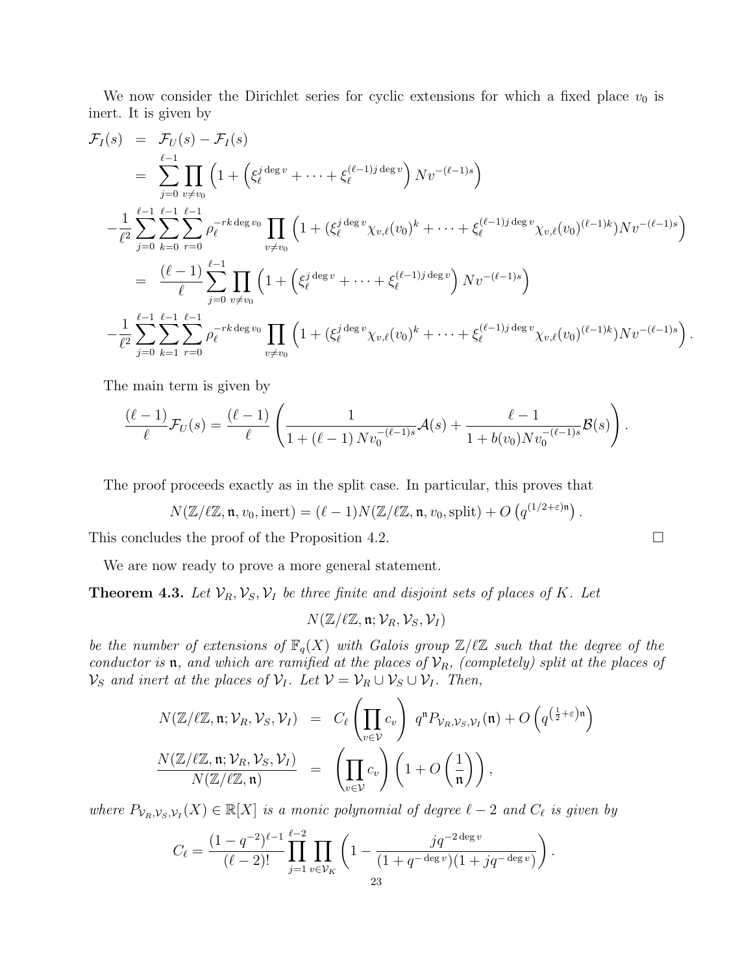We now consider the Dirichlet series for cyclic extensions for which a fixed place  $v_0$  is inert. It is given by

$$
\mathcal{F}_{I}(s) = \mathcal{F}_{U}(s) - \mathcal{F}_{I}(s)
$$
\n
$$
= \sum_{j=0}^{\ell-1} \prod_{v \neq v_0} \left( 1 + \left( \xi_{\ell}^{j \deg v} + \dots + \xi_{\ell}^{(\ell-1)j \deg v} \right) Nv^{-(\ell-1)s} \right)
$$
\n
$$
- \frac{1}{\ell^{2}} \sum_{j=0}^{\ell-1} \sum_{k=0}^{\ell-1} \sum_{r=0}^{\ell-1} \rho_{\ell}^{-rk \deg v_0} \prod_{v \neq v_0} \left( 1 + (\xi_{\ell}^{j \deg v} \chi_{v,\ell}(v_0)^{k} + \dots + \xi_{\ell}^{(\ell-1)j \deg v} \chi_{v,\ell}(v_0)^{(\ell-1)k}) Nv^{-(\ell-1)s} \right)
$$
\n
$$
= \frac{(\ell-1)}{\ell} \sum_{j=0}^{\ell-1} \prod_{v \neq v_0} \left( 1 + \left( \xi_{\ell}^{j \deg v} + \dots + \xi_{\ell}^{(\ell-1)j \deg v} \right) Nv^{-(\ell-1)s} \right)
$$
\n
$$
- \frac{1}{\ell^{2}} \sum_{j=0}^{\ell-1} \sum_{k=1}^{\ell-1} \sum_{r=0}^{\ell-1} \sum_{v \neq v_0} \rho_{\ell}^{-rk \deg v_0} \prod_{v \neq v_0} \left( 1 + (\xi_{\ell}^{j \deg v} \chi_{v,\ell}(v_0)^{k} + \dots + \xi_{\ell}^{(\ell-1)j \deg v} \chi_{v,\ell}(v_0)^{(\ell-1)k}) Nv^{-(\ell-1)s} \right).
$$

The main term is given by

$$
\frac{(\ell-1)}{\ell}\mathcal{F}_U(s) = \frac{(\ell-1)}{\ell}\left(\frac{1}{1+(\ell-1)Nv_0^{-(\ell-1)s}}\mathcal{A}(s) + \frac{\ell-1}{1+b(v_0)Nv_0^{-(\ell-1)s}}\mathcal{B}(s)\right).
$$

The proof proceeds exactly as in the split case. In particular, this proves that

$$
N(\mathbb{Z}/\ell\mathbb{Z}, \mathfrak{n}, v_0, \text{inert}) = (\ell - 1)N(\mathbb{Z}/\ell\mathbb{Z}, \mathfrak{n}, v_0, \text{split}) + O\left(q^{(1/2 + \varepsilon)\mathfrak{n}}\right)
$$

.

This concludes the proof of the Proposition 4.2.  $\Box$ 

We are now ready to prove a more general statement.

**Theorem 4.3.** Let  $\mathcal{V}_R$ ,  $\mathcal{V}_S$ ,  $\mathcal{V}_I$  be three finite and disjoint sets of places of K. Let

 $N(\mathbb{Z}/\ell\mathbb{Z}, \mathfrak{n}; \mathcal{V}_R, \mathcal{V}_S, \mathcal{V}_I)$ 

be the number of extensions of  $\mathbb{F}_q(X)$  with Galois group  $\mathbb{Z}/\ell\mathbb{Z}$  such that the degree of the conductor is **n**, and which are ramified at the places of  $\mathcal{V}_R$ , (completely) split at the places of  $\mathcal{V}_S$  and inert at the places of  $\mathcal{V}_I$ . Let  $\mathcal{V} = \mathcal{V}_R \cup \mathcal{V}_S \cup \mathcal{V}_I$ . Then,

$$
N(\mathbb{Z}/\ell\mathbb{Z}, \mathfrak{n}; \mathcal{V}_R, \mathcal{V}_S, \mathcal{V}_I) = C_{\ell} \left( \prod_{v \in \mathcal{V}} c_v \right) q^n P_{\mathcal{V}_R, \mathcal{V}_S, \mathcal{V}_I}(\mathfrak{n}) + O\left( q^{\left(\frac{1}{2} + \varepsilon\right)\mathfrak{n}} \right)
$$

$$
\frac{N(\mathbb{Z}/\ell\mathbb{Z}, \mathfrak{n}; \mathcal{V}_R, \mathcal{V}_S, \mathcal{V}_I)}{N(\mathbb{Z}/\ell\mathbb{Z}, \mathfrak{n})} = \left( \prod_{v \in \mathcal{V}} c_v \right) \left( 1 + O\left( \frac{1}{\mathfrak{n}} \right) \right),
$$

where  $P_{V_R,V_S,V_I}(X) \in \mathbb{R}[X]$  is a monic polynomial of degree  $\ell - 2$  and  $C_{\ell}$  is given by

$$
C_{\ell} = \frac{(1 - q^{-2})^{\ell - 1}}{(\ell - 2)!} \prod_{j=1}^{\ell - 2} \prod_{v \in \mathcal{V}_K} \left(1 - \frac{jq^{-2 \deg v}}{(1 + q^{-\deg v})(1 + jq^{-\deg v})}\right).
$$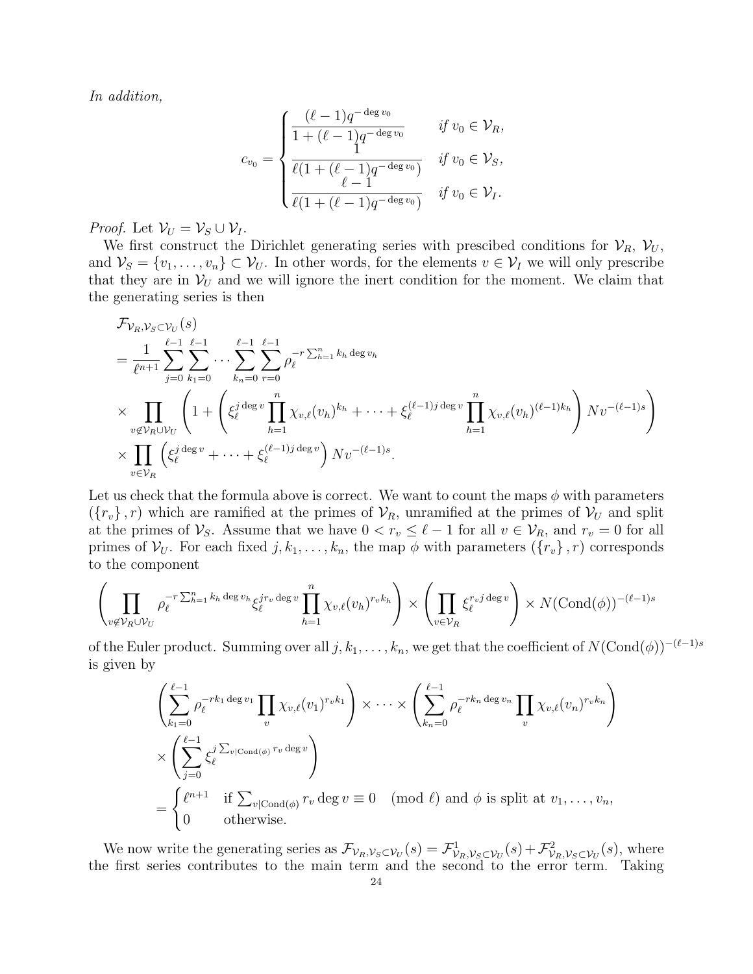In addition,

$$
c_{v_0} = \begin{cases} \frac{(\ell-1)q^{-\deg v_0}}{1+(\ell-1)q^{-\deg v_0}} & \text{if } v_0 \in \mathcal{V}_R, \\ \frac{1}{\ell(1+(\ell-1)q^{-\deg v_0})} & \text{if } v_0 \in \mathcal{V}_S, \\ \frac{\ell-1}{\ell(1+(\ell-1)q^{-\deg v_0})} & \text{if } v_0 \in \mathcal{V}_I. \end{cases}
$$

*Proof.* Let  $\mathcal{V}_U = \mathcal{V}_S \cup \mathcal{V}_I$ .

We first construct the Dirichlet generating series with prescibed conditions for  $V_R$ ,  $V_U$ , and  $V_S = \{v_1, \ldots, v_n\} \subset V_U$ . In other words, for the elements  $v \in V_I$  we will only prescribe that they are in  $V_U$  and we will ignore the inert condition for the moment. We claim that the generating series is then

$$
\mathcal{F}_{\mathcal{V}_R, \mathcal{V}_S \subset \mathcal{V}_U}(s)
$$
\n
$$
= \frac{1}{\ell^{n+1}} \sum_{j=0}^{\ell-1} \sum_{k_1=0}^{\ell-1} \cdots \sum_{k_n=0}^{\ell-1} \sum_{r=0}^{\ell-1} \rho_{\ell}^{-r \sum_{h=1}^n k_h \deg v_h}
$$
\n
$$
\times \prod_{v \notin \mathcal{V}_R \cup \mathcal{V}_U} \left( 1 + \left( \xi_{\ell}^{j \deg v} \prod_{h=1}^n \chi_{v,\ell}(v_h)^{k_h} + \cdots + \xi_{\ell}^{(\ell-1)j \deg v} \prod_{h=1}^n \chi_{v,\ell}(v_h)^{(\ell-1)k_h} \right) Nv^{-(\ell-1)s} \right)
$$
\n
$$
\times \prod_{v \in \mathcal{V}_R} \left( \xi_{\ell}^{j \deg v} + \cdots + \xi_{\ell}^{(\ell-1)j \deg v} \right) Nv^{-(\ell-1)s}.
$$

Let us check that the formula above is correct. We want to count the maps  $\phi$  with parameters  $({r_v}, r)$  which are ramified at the primes of  $\mathcal{V}_R$ , unramified at the primes of  $\mathcal{V}_U$  and split at the primes of  $\mathcal{V}_S$ . Assume that we have  $0 < r_v \leq \ell - 1$  for all  $v \in \mathcal{V}_R$ , and  $r_v = 0$  for all primes of  $V_U$ . For each fixed  $j, k_1, \ldots, k_n$ , the map  $\phi$  with parameters  $(\lbrace r_v \rbrace, r)$  corresponds to the component

$$
\left(\prod_{v\not\in\mathcal{V}_R\cup\mathcal{V}_U}\rho_\ell^{-r\sum_{h=1}^nk_h\deg v_h}\xi_\ell^{jr_v\deg v}\prod_{h=1}^n\chi_{v,\ell}(v_h)^{r_vk_h}\right)\times\left(\prod_{v\in\mathcal{V}_R}\xi_\ell^{r_vj\deg v}\right)\times N(\text{Cond}(\phi))^{-(\ell-1)s}
$$

of the Euler product. Summing over all  $j, k_1, \ldots, k_n$ , we get that the coefficient of  $N(\text{Cond}(\phi))^{-(\ell-1)s}$ is given by

$$
\left(\sum_{k_1=0}^{\ell-1} \rho_\ell^{-rk_1 \deg v_1} \prod_v \chi_{v,\ell}(v_1)^{r_v k_1}\right) \times \cdots \times \left(\sum_{k_n=0}^{\ell-1} \rho_\ell^{-rk_n \deg v_n} \prod_v \chi_{v,\ell}(v_n)^{r_v k_n}\right)
$$

$$
\times \left(\sum_{j=0}^{\ell-1} \xi_\ell^{j \sum_{v|\text{Cond}(\phi)} r_v \deg v}\right)
$$

$$
= \begin{cases} \ell^{n+1} & \text{if } \sum_{v|\text{Cond}(\phi)} r_v \deg v \equiv 0 \pmod{\ell} \text{ and } \phi \text{ is split at } v_1, \dots, v_n, \\ 0 & \text{otherwise.} \end{cases}
$$

We now write the generating series as  $\mathcal{F}_{\mathcal{V}_R,\mathcal{V}_S \subset \mathcal{V}_U}(s) = \mathcal{F}_{\mathcal{V}_R,\mathcal{V}_S \subset \mathcal{V}_U}^1(s) + \mathcal{F}_{\mathcal{V}_R,\mathcal{V}_S \subset \mathcal{V}_U}^2(s)$ , where the first series contributes to the main term and the second to the error term. Taking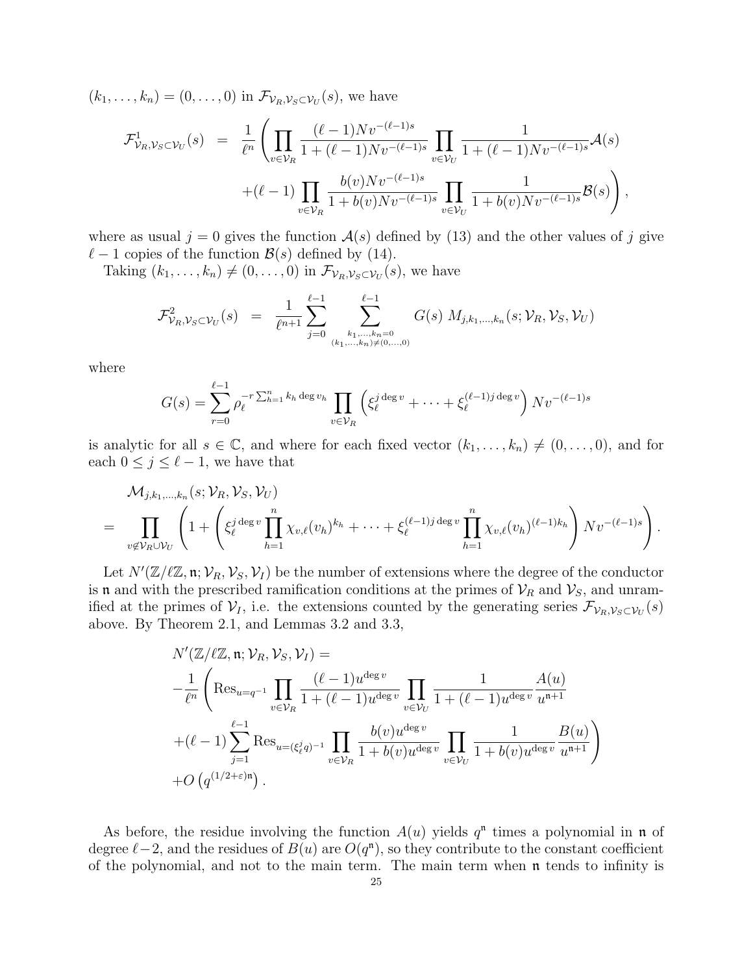$(k_1, \ldots, k_n) = (0, \ldots, 0)$  in  $\mathcal{F}_{\mathcal{V}_R, \mathcal{V}_S \subset \mathcal{V}_U}(s)$ , we have

$$
\mathcal{F}^1_{\mathcal{V}_R, \mathcal{V}_S \subset \mathcal{V}_U}(s) = \frac{1}{\ell^n} \left( \prod_{v \in \mathcal{V}_R} \frac{(\ell-1) N v^{-(\ell-1)s}}{1+(\ell-1) N v^{-(\ell-1)s}} \prod_{v \in \mathcal{V}_U} \frac{1}{1+(\ell-1) N v^{-(\ell-1)s}} \mathcal{A}(s) + (\ell-1) \prod_{v \in \mathcal{V}_R} \frac{b(v) N v^{-(\ell-1)s}}{1+b(v) N v^{-(\ell-1)s}} \prod_{v \in \mathcal{V}_U} \frac{1}{1+b(v) N v^{-(\ell-1)s}} \mathcal{B}(s) \right),
$$

where as usual  $j = 0$  gives the function  $\mathcal{A}(s)$  defined by (13) and the other values of j give  $\ell - 1$  copies of the function  $\mathcal{B}(s)$  defined by (14).

Taking  $(k_1, \ldots, k_n) \neq (0, \ldots, 0)$  in  $\mathcal{F}_{\mathcal{V}_R, \mathcal{V}_S \subset \mathcal{V}_U}(s)$ , we have

$$
\mathcal{F}^2_{\mathcal{V}_R, \mathcal{V}_S \subset \mathcal{V}_U}(s) = \frac{1}{\ell^{n+1}} \sum_{j=0}^{\ell-1} \sum_{\substack{k_1, \dots, k_n = 0 \\ (k_1, \dots, k_n) \neq (0, \dots, 0)}}^{\ell-1} G(s) M_{j,k_1, \dots, k_n}(s; \mathcal{V}_R, \mathcal{V}_S, \mathcal{V}_U)
$$

where

$$
G(s) = \sum_{r=0}^{\ell-1} \rho_{\ell}^{-r \sum_{h=1}^{n} k_h \deg v_h} \prod_{v \in \mathcal{V}_R} \left( \xi_{\ell}^{j \deg v} + \dots + \xi_{\ell}^{(\ell-1)j \deg v} \right) Nv^{-(\ell-1)s}
$$

is analytic for all  $s \in \mathbb{C}$ , and where for each fixed vector  $(k_1, \ldots, k_n) \neq (0, \ldots, 0)$ , and for each  $0 \leq j \leq \ell - 1$ , we have that

$$
\mathcal{M}_{j,k_1,\ldots,k_n}(s;\mathcal{V}_R,\mathcal{V}_S,\mathcal{V}_U)
$$
\n
$$
= \prod_{v \notin \mathcal{V}_R \cup \mathcal{V}_U} \left(1 + \left(\xi_\ell^{j \deg v} \prod_{h=1}^n \chi_{v,\ell}(v_h)^{k_h} + \cdots + \xi_\ell^{(\ell-1)j \deg v} \prod_{h=1}^n \chi_{v,\ell}(v_h)^{(\ell-1)k_h}\right) Nv^{-(\ell-1)s}\right).
$$

Let  $N'(\mathbb{Z}/\ell\mathbb{Z}, \mathfrak{n}; \mathcal{V}_R, \mathcal{V}_S, \mathcal{V}_I)$  be the number of extensions where the degree of the conductor is **n** and with the prescribed ramification conditions at the primes of  $V_R$  and  $V_S$ , and unramified at the primes of  $\mathcal{V}_I$ , i.e. the extensions counted by the generating series  $\mathcal{F}_{\mathcal{V}_R,\mathcal{V}_S\subset\mathcal{V}_U}(s)$ above. By Theorem 2.1, and Lemmas 3.2 and 3.3,

$$
N'(\mathbb{Z}/\ell\mathbb{Z}, \mathfrak{n}; \mathcal{V}_R, \mathcal{V}_S, \mathcal{V}_I) =
$$
  
\n
$$
-\frac{1}{\ell^n} \left( \text{Res}_{u=q^{-1}} \prod_{v \in \mathcal{V}_R} \frac{(\ell-1)u^{\deg v}}{1+(\ell-1)u^{\deg v}} \prod_{v \in \mathcal{V}_U} \frac{1}{1+(\ell-1)u^{\deg v}} \frac{A(u)}{u^{\mathfrak{n}+1}} \right.
$$
  
\n
$$
+(\ell-1) \sum_{j=1}^{\ell-1} \text{Res}_{u=(\xi_{\ell}^j q)^{-1}} \prod_{v \in \mathcal{V}_R} \frac{b(v)u^{\deg v}}{1+b(v)u^{\deg v}} \prod_{v \in \mathcal{V}_U} \frac{1}{1+b(v)u^{\deg v}} \frac{B(u)}{u^{\mathfrak{n}+1}} \right)
$$
  
\n+ $O(q^{(1/2+\varepsilon)\mathfrak{n}}).$ 

As before, the residue involving the function  $A(u)$  yields  $q<sup>n</sup>$  times a polynomial in n of degree  $\ell - 2$ , and the residues of  $B(u)$  are  $O(q^n)$ , so they contribute to the constant coefficient of the polynomial, and not to the main term. The main term when n tends to infinity is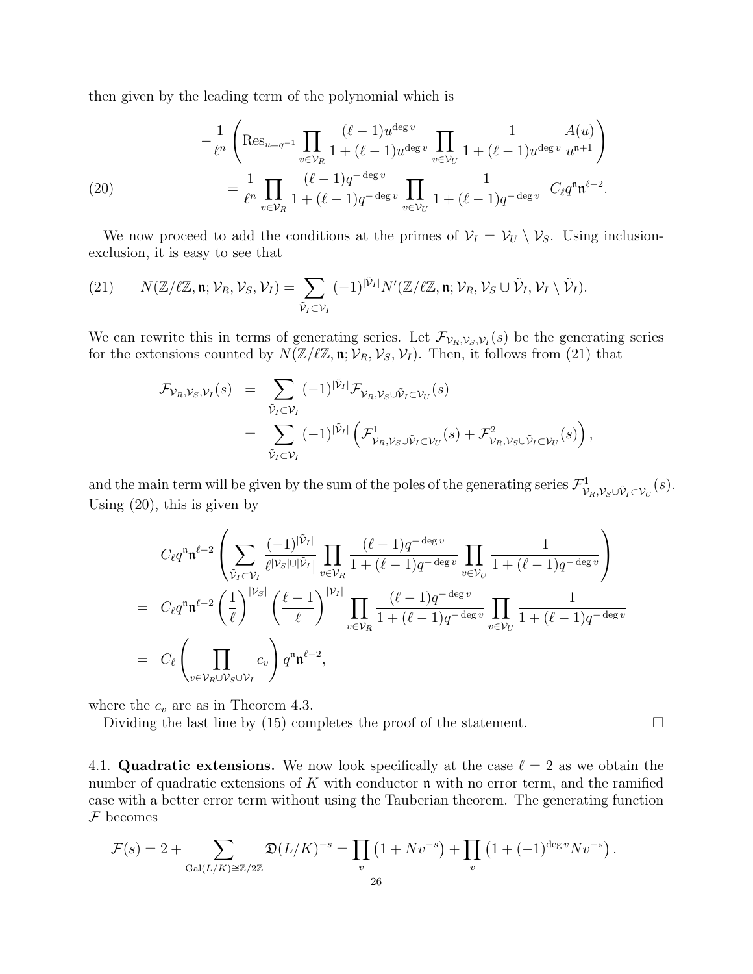then given by the leading term of the polynomial which is

(20) 
$$
-\frac{1}{\ell^n} \left( \text{Res}_{u=q^{-1}} \prod_{v \in \mathcal{V}_R} \frac{(\ell-1)u^{\deg v}}{1+(\ell-1)u^{\deg v}} \prod_{v \in \mathcal{V}_U} \frac{1}{1+(\ell-1)u^{\deg v}} \frac{A(u)}{u^{n+1}} \right) = \frac{1}{\ell^n} \prod_{v \in \mathcal{V}_R} \frac{(\ell-1)q^{-\deg v}}{1+(\ell-1)q^{-\deg v}} \prod_{v \in \mathcal{V}_U} \frac{1}{1+(\ell-1)q^{-\deg v}} C_{\ell} q^n \mathfrak{n}^{\ell-2}.
$$

We now proceed to add the conditions at the primes of  $\mathcal{V}_I = \mathcal{V}_U \setminus \mathcal{V}_S$ . Using inclusionexclusion, it is easy to see that

(21) 
$$
N(\mathbb{Z}/\ell\mathbb{Z}, \mathfrak{n}; \mathcal{V}_R, \mathcal{V}_S, \mathcal{V}_I) = \sum_{\tilde{\mathcal{V}}_I \subset \mathcal{V}_I} (-1)^{|\tilde{\mathcal{V}}_I|} N'(\mathbb{Z}/\ell\mathbb{Z}, \mathfrak{n}; \mathcal{V}_R, \mathcal{V}_S \cup \tilde{\mathcal{V}}_I, \mathcal{V}_I \setminus \tilde{\mathcal{V}}_I).
$$

We can rewrite this in terms of generating series. Let  $\mathcal{F}_{\mathcal{V}_R,\mathcal{V}_S,\mathcal{V}_I}(s)$  be the generating series for the extensions counted by  $N(\mathbb{Z}/\ell\mathbb{Z}, \mathfrak{n}; \mathcal{V}_R, \mathcal{V}_S, \mathcal{V}_I)$ . Then, it follows from (21) that

$$
\mathcal{F}_{\mathcal{V}_R, \mathcal{V}_S, \mathcal{V}_I}(s) = \sum_{\tilde{\mathcal{V}}_I \subset \mathcal{V}_I} (-1)^{|\tilde{\mathcal{V}}_I|} \mathcal{F}_{\mathcal{V}_R, \mathcal{V}_S \cup \tilde{\mathcal{V}}_I \subset \mathcal{V}_U}(s)
$$
  
\n
$$
= \sum_{\tilde{\mathcal{V}}_I \subset \mathcal{V}_I} (-1)^{|\tilde{\mathcal{V}}_I|} \left( \mathcal{F}^1_{\mathcal{V}_R, \mathcal{V}_S \cup \tilde{\mathcal{V}}_I \subset \mathcal{V}_U}(s) + \mathcal{F}^2_{\mathcal{V}_R, \mathcal{V}_S \cup \tilde{\mathcal{V}}_I \subset \mathcal{V}_U}(s) \right),
$$

and the main term will be given by the sum of the poles of the generating series  $\mathcal{F}^1_{\mathcal{V}_R,\mathcal{V}_S\cup \tilde{\mathcal{V}}_I\subset \mathcal{V}_U}(s)$ . Using (20), this is given by

$$
C_{\ell}q^{n}\mathfrak{n}^{\ell-2}\left(\sum_{\tilde{V}_{I}\subset\mathcal{V}_{I}}\frac{(-1)^{|\tilde{V}_{I}|}}{\ell^{|\mathcal{V}_{S}|\cup|\tilde{V}_{I}|}}\prod_{v\in\mathcal{V}_{R}}\frac{(\ell-1)q^{-\deg v}}{1+(\ell-1)q^{-\deg v}}\prod_{v\in\mathcal{V}_{U}}\frac{1}{1+(\ell-1)q^{-\deg v}}\right)
$$
  
= 
$$
C_{\ell}q^{n}\mathfrak{n}^{\ell-2}\left(\frac{1}{\ell}\right)^{|\mathcal{V}_{S}|}\left(\frac{\ell-1}{\ell}\right)^{|\mathcal{V}_{I}|}\prod_{v\in\mathcal{V}_{R}}\frac{(\ell-1)q^{-\deg v}}{1+(\ell-1)q^{-\deg v}}\prod_{v\in\mathcal{V}_{U}}\frac{1}{1+(\ell-1)q^{-\deg v}}
$$
  
= 
$$
C_{\ell}\left(\prod_{v\in\mathcal{V}_{R}\cup\mathcal{V}_{S}\cup\mathcal{V}_{I}}c_{v}\right)q^{n}\mathfrak{n}^{\ell-2},
$$

where the  $c_v$  are as in Theorem 4.3.

Dividing the last line by (15) completes the proof of the statement.  $\Box$ 

4.1. Quadratic extensions. We now look specifically at the case  $\ell = 2$  as we obtain the number of quadratic extensions of  $K$  with conductor  $\mathfrak n$  with no error term, and the ramified case with a better error term without using the Tauberian theorem. The generating function  $F$  becomes

$$
\mathcal{F}(s) = 2 + \sum_{\text{Gal}(L/K) \cong \mathbb{Z}/2\mathbb{Z}} \mathfrak{D}(L/K)^{-s} = \prod_{v} \left(1 + Nv^{-s}\right) + \prod_{v} \left(1 + (-1)^{\text{deg }v} Nv^{-s}\right).
$$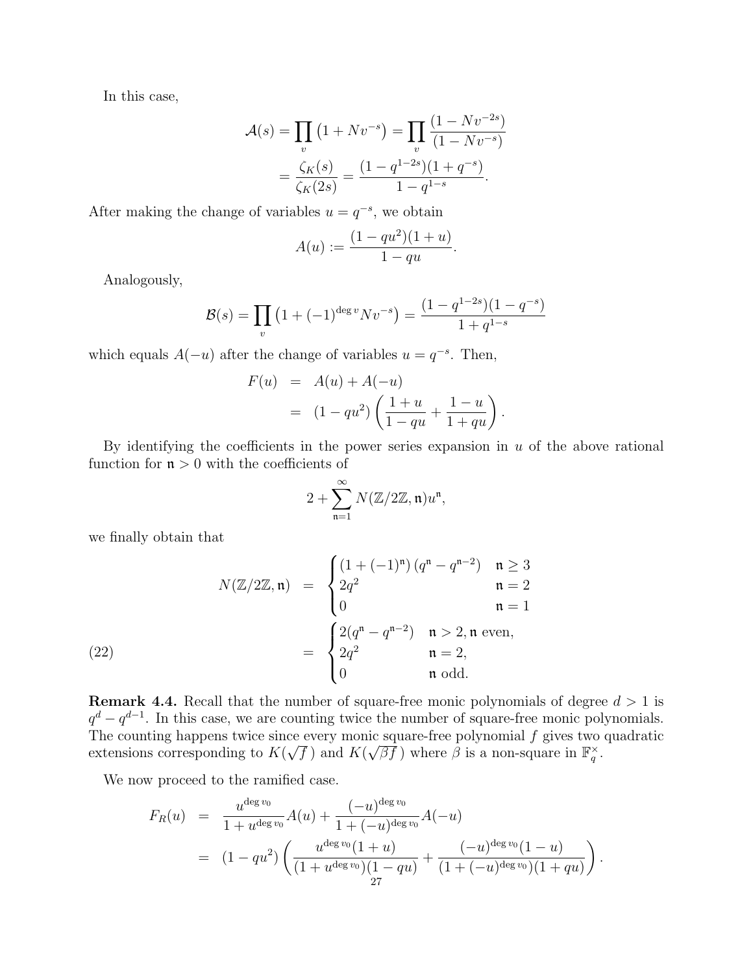In this case,

$$
\mathcal{A}(s) = \prod_{v} (1 + Nv^{-s}) = \prod_{v} \frac{(1 - Nv^{-2s})}{(1 - Nv^{-s})}
$$

$$
= \frac{\zeta_K(s)}{\zeta_K(2s)} = \frac{(1 - q^{1-2s})(1 + q^{-s})}{1 - q^{1-s}}.
$$

After making the change of variables  $u = q^{-s}$ , we obtain

$$
A(u) := \frac{(1 - qu^2)(1 + u)}{1 - qu}
$$

.

Analogously,

$$
\mathcal{B}(s) = \prod_{v} \left( 1 + (-1)^{\deg v} N v^{-s} \right) = \frac{(1 - q^{1 - 2s})(1 - q^{-s})}{1 + q^{1 - s}}
$$

which equals  $A(-u)$  after the change of variables  $u = q^{-s}$ . Then,

$$
F(u) = A(u) + A(-u)
$$
  
=  $(1 - qu^2) \left( \frac{1+u}{1-qu} + \frac{1-u}{1+qu} \right).$ 

By identifying the coefficients in the power series expansion in  $u$  of the above rational function for  $n > 0$  with the coefficients of

$$
2+\sum_{\mathfrak{n}=1}^\infty N(\mathbb{Z}/2\mathbb{Z},\mathfrak{n})u^\mathfrak{n},
$$

we finally obtain that

(22) 
$$
N(\mathbb{Z}/2\mathbb{Z}, \mathfrak{n}) = \begin{cases} (1 + (-1)^{\mathfrak{n}}) (q^{\mathfrak{n}} - q^{\mathfrak{n} - 2}) & \mathfrak{n} \ge 3 \\ 2q^2 & \mathfrak{n} = 2 \\ 0 & \mathfrak{n} = 1 \end{cases}
$$

$$
= \begin{cases} 2(q^{\mathfrak{n}} - q^{\mathfrak{n} - 2}) & \mathfrak{n} > 2, \mathfrak{n} \text{ even,} \\ 2q^2 & \mathfrak{n} = 2, \\ 0 & \mathfrak{n} \text{ odd.} \end{cases}
$$

**Remark 4.4.** Recall that the number of square-free monic polynomials of degree  $d > 1$  is  $q^d - q^{d-1}$ . In this case, we are counting twice the number of square-free monic polynomials. The counting happens twice since every monic square-free polynomial  $f$  gives two quadratic extensions corresponding to  $K($ √  $\overline{f}$  ) and K( The square-free polynomial *f* gives two  $\sqrt{\beta f}$  where  $\beta$  is a non-square in  $\mathbb{F}_q^{\times}$ .

We now proceed to the ramified case.

$$
F_R(u) = \frac{u^{\deg v_0}}{1 + u^{\deg v_0}} A(u) + \frac{(-u)^{\deg v_0}}{1 + (-u)^{\deg v_0}} A(-u)
$$
  
= 
$$
(1 - qu^2) \left( \frac{u^{\deg v_0}(1+u)}{(1 + u^{\deg v_0})(1-qu)} + \frac{(-u)^{\deg v_0}(1-u)}{(1 + (-u)^{\deg v_0})(1+qu)} \right).
$$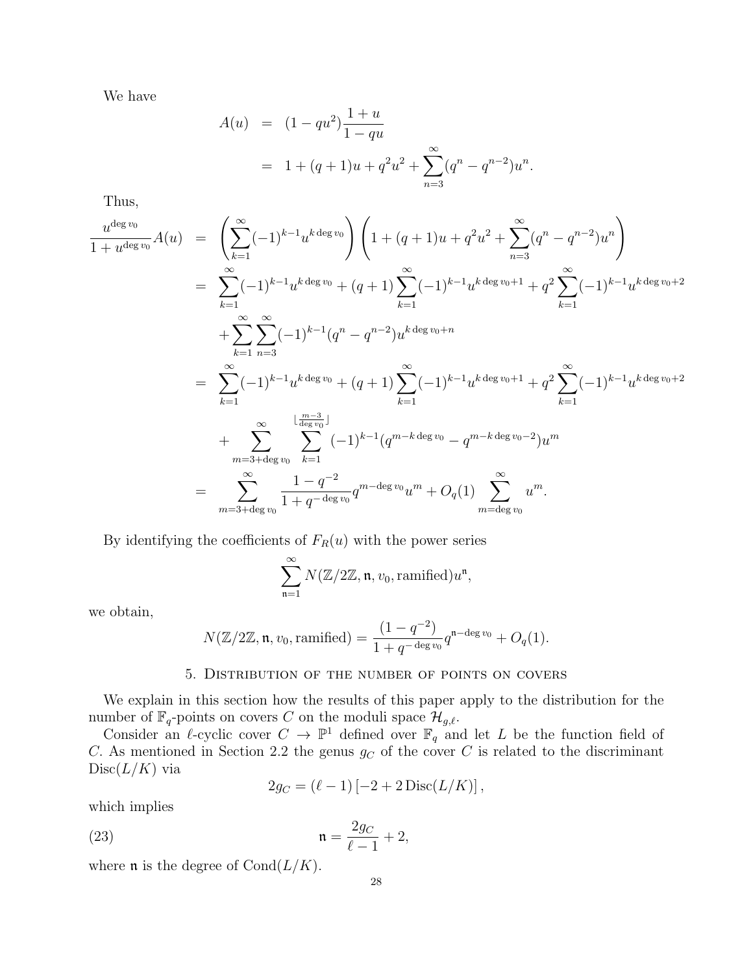We have

$$
A(u) = (1 - qu^2) \frac{1 + u}{1 - qu}
$$
  
= 1 + (q + 1)u + q^2 u^2 + \sum\_{n=3}^{\infty} (q^n - q^{n-2}) u^n.

Thus,

$$
\frac{u^{\deg v_0}}{1+u^{\deg v_0}}A(u) = \left(\sum_{k=1}^{\infty}(-1)^{k-1}u^{k\deg v_0}\right)\left(1+(q+1)u+q^2u^2+\sum_{n=3}^{\infty}(q^n-q^{n-2})u^n\right)
$$
\n
$$
= \sum_{k=1}^{\infty}(-1)^{k-1}u^{k\deg v_0}+(q+1)\sum_{k=1}^{\infty}(-1)^{k-1}u^{k\deg v_0+1}+q^2\sum_{k=1}^{\infty}(-1)^{k-1}u^{k\deg v_0+2} + \sum_{k=1}^{\infty}\sum_{n=3}^{\infty}(-1)^{k-1}(q^n-q^{n-2})u^{k\deg v_0+n}
$$
\n
$$
= \sum_{k=1}^{\infty}(-1)^{k-1}u^{k\deg v_0}+(q+1)\sum_{k=1}^{\infty}(-1)^{k-1}u^{k\deg v_0+1}+q^2\sum_{k=1}^{\infty}(-1)^{k-1}u^{k\deg v_0+2} + \sum_{m=3+\deg v_0}^{\infty}\sum_{k=1}^{\lfloor\frac{m-3}{\deg v_0}\rfloor}(-1)^{k-1}(q^{m-k\deg v_0}-q^{m-k\deg v_0-2})u^m
$$
\n
$$
= \sum_{m=3+\deg v_0}^{\infty}\frac{1-q^{-2}}{1+q^{-\deg v_0}}q^{m-\deg v_0}u^m+O_q(1)\sum_{m=\deg v_0}^{\infty}u^m.
$$

By identifying the coefficients of  $F_R(u)$  with the power series

$$
\sum_{\mathfrak{n}=1}^\infty N(\mathbb{Z}/2\mathbb{Z},\mathfrak{n},v_0,\mathrm{ramified})u^\mathfrak{n},
$$

we obtain,

$$
N(\mathbb{Z}/2\mathbb{Z}, \mathfrak{n}, v_0, \text{ramified}) = \frac{(1 - q^{-2})}{1 + q^{-\deg v_0}} q^{\mathfrak{n} - \deg v_0} + O_q(1).
$$

### 5. Distribution of the number of points on covers

We explain in this section how the results of this paper apply to the distribution for the number of  $\mathbb{F}_q$ -points on covers C on the moduli space  $\mathcal{H}_{g,\ell}$ .

Consider an  $\ell$ -cyclic cover  $C \to \mathbb{P}^1$  defined over  $\mathbb{F}_q$  and let L be the function field of C. As mentioned in Section 2.2 the genus  $g_C$  of the cover C is related to the discriminant  $Disc(L/K)$  via

$$
2g_C = (\ell - 1)[-2 + 2 \operatorname{Disc}(L/K)],
$$

which implies

$$
\mathfrak{n} = \frac{2g_C}{\ell - 1} + 2,
$$

where  $\mathfrak n$  is the degree of  $\text{Cond}(L/K)$ .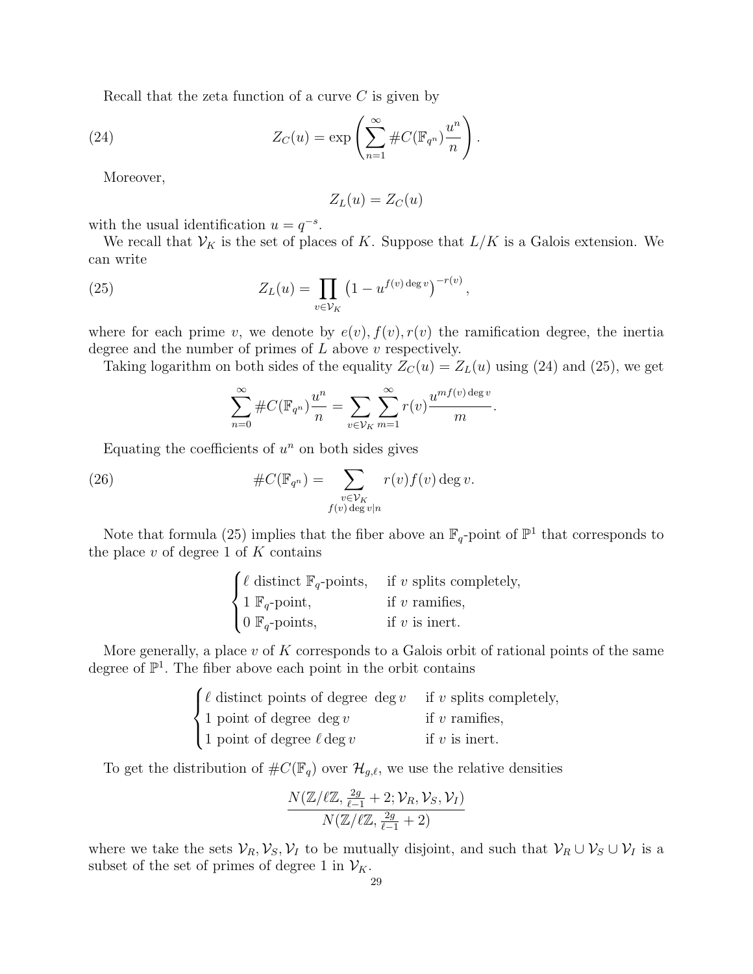Recall that the zeta function of a curve  $C$  is given by

(24) 
$$
Z_C(u) = \exp\left(\sum_{n=1}^{\infty} \#C(\mathbb{F}_{q^n})\frac{u^n}{n}\right).
$$

Moreover,

$$
Z_L(u) = Z_C(u)
$$

with the usual identification  $u = q^{-s}$ .

 $\lambda$ 

We recall that  $\mathcal{V}_K$  is the set of places of K. Suppose that  $L/K$  is a Galois extension. We can write

(25) 
$$
Z_L(u) = \prod_{v \in V_K} (1 - u^{f(v) \deg v})^{-r(v)},
$$

where for each prime v, we denote by  $e(v)$ ,  $f(v)$ ,  $r(v)$  the ramification degree, the inertia degree and the number of primes of  $L$  above  $v$  respectively.

Taking logarithm on both sides of the equality  $Z_C(u) = Z_L(u)$  using (24) and (25), we get

$$
\sum_{n=0}^{\infty} \#C(\mathbb{F}_{q^n})\frac{u^n}{n} = \sum_{v \in \mathcal{V}_K} \sum_{m=1}^{\infty} r(v) \frac{u^{mf(v) \deg v}}{m}.
$$

Equating the coefficients of  $u^n$  on both sides gives

(26) 
$$
\#C(\mathbb{F}_{q^n}) = \sum_{\substack{v \in \mathcal{V}_K \\ f(v) \deg v \mid n}} r(v) f(v) \deg v.
$$

Note that formula (25) implies that the fiber above an  $\mathbb{F}_q$ -point of  $\mathbb{P}^1$  that corresponds to the place  $v$  of degree 1 of  $K$  contains

|                                     | $\int \ell$ distinct $\mathbb{F}_q$ -points, if v splits completely, |
|-------------------------------------|----------------------------------------------------------------------|
| $\{ 1 \mathbb{F}_q$ -point,         | if $v$ ramifies,                                                     |
| $\bigcup$ 0 $\mathbb{F}_q$ -points, | if $v$ is inert.                                                     |

More generally, a place  $v$  of  $K$  corresponds to a Galois orbit of rational points of the same degree of  $\mathbb{P}^1$ . The fiber above each point in the orbit contains

| $\int \ell$ distinct points of degree deg v if v splits completely, |                  |
|---------------------------------------------------------------------|------------------|
| $\langle 1 \text{ point of degree } \deg v \rangle$                 | if $v$ ramifies, |
| 1 point of degree $\ell$ deg v                                      | if $v$ is inert. |

To get the distribution of  $\#C(\mathbb{F}_q)$  over  $\mathcal{H}_{g,\ell}$ , we use the relative densities

$$
\frac{N(\mathbb{Z}/\ell\mathbb{Z},\frac{2g}{\ell-1}+2;\mathcal{V}_R,\mathcal{V}_S,\mathcal{V}_I)}{N(\mathbb{Z}/\ell\mathbb{Z},\frac{2g}{\ell-1}+2)}
$$

where we take the sets  $\mathcal{V}_R, \mathcal{V}_S, \mathcal{V}_I$  to be mutually disjoint, and such that  $\mathcal{V}_R \cup \mathcal{V}_S \cup \mathcal{V}_I$  is a subset of the set of primes of degree 1 in  $\mathcal{V}_K$ .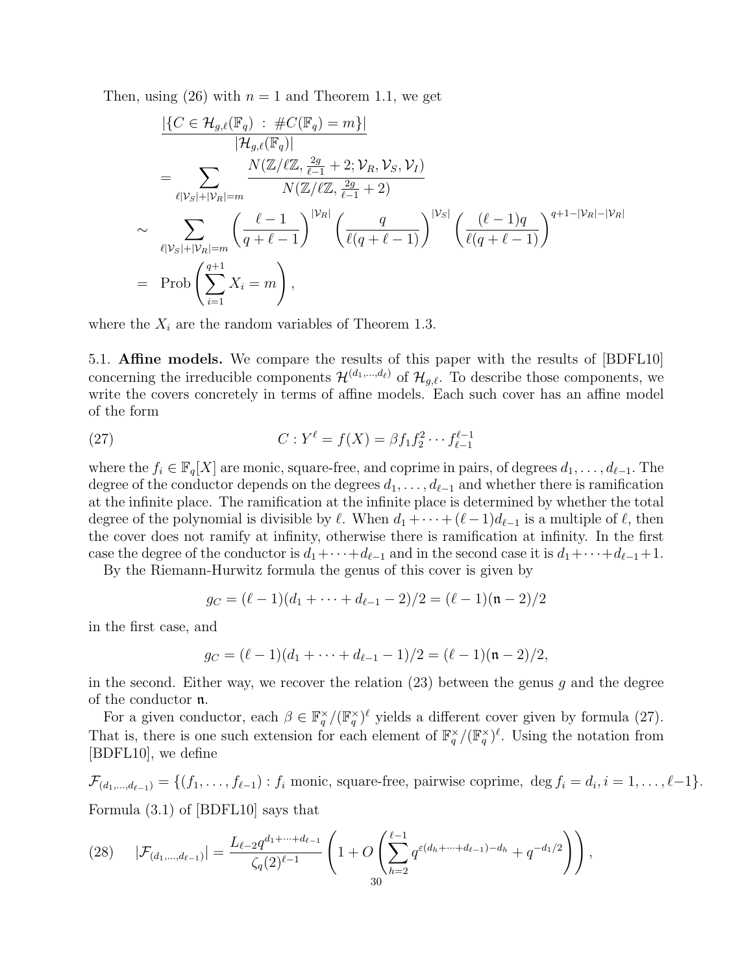Then, using (26) with  $n = 1$  and Theorem 1.1, we get

$$
\frac{|\{C \in \mathcal{H}_{g,\ell}(\mathbb{F}_q) : \#C(\mathbb{F}_q) = m\}|}{|\mathcal{H}_{g,\ell}(\mathbb{F}_q)|}
$$
\n
$$
= \sum_{\ell|\mathcal{V}_S| + |\mathcal{V}_R| = m} \frac{N(\mathbb{Z}/\ell\mathbb{Z}, \frac{2g}{\ell-1} + 2; \mathcal{V}_R, \mathcal{V}_S, \mathcal{V}_I)}{N(\mathbb{Z}/\ell\mathbb{Z}, \frac{2g}{\ell-1} + 2)}
$$
\n
$$
\sim \sum_{\ell|\mathcal{V}_S| + |\mathcal{V}_R| = m} \left(\frac{\ell-1}{q+\ell-1}\right)^{|\mathcal{V}_R|} \left(\frac{q}{\ell(q+\ell-1)}\right)^{|\mathcal{V}_S|} \left(\frac{(\ell-1)q}{\ell(q+\ell-1)}\right)^{q+1-|\mathcal{V}_R| - |\mathcal{V}_R|}
$$
\n
$$
= \text{Prob}\left(\sum_{i=1}^{q+1} X_i = m\right),
$$

where the  $X_i$  are the random variables of Theorem 1.3.

5.1. Affine models. We compare the results of this paper with the results of [BDFL10] concerning the irreducible components  $\mathcal{H}^{(d_1,...,d_\ell)}$  of  $\mathcal{H}_{q,\ell}$ . To describe those components, we write the covers concretely in terms of affine models. Each such cover has an affine model of the form

(27) 
$$
C: Y^{\ell} = f(X) = \beta f_1 f_2^2 \cdots f_{\ell-1}^{\ell-1}
$$

where the  $f_i \in \mathbb{F}_q[X]$  are monic, square-free, and coprime in pairs, of degrees  $d_1, \ldots, d_{\ell-1}$ . The degree of the conductor depends on the degrees  $d_1, \ldots, d_{\ell-1}$  and whether there is ramification at the infinite place. The ramification at the infinite place is determined by whether the total degree of the polynomial is divisible by  $\ell$ . When  $d_1 + \cdots + (\ell-1)d_{\ell-1}$  is a multiple of  $\ell$ , then the cover does not ramify at infinity, otherwise there is ramification at infinity. In the first case the degree of the conductor is  $d_1+\cdots+d_{\ell-1}$  and in the second case it is  $d_1+\cdots+d_{\ell-1}+1$ .

By the Riemann-Hurwitz formula the genus of this cover is given by

$$
g_C = (\ell - 1)(d_1 + \dots + d_{\ell-1} - 2)/2 = (\ell - 1)(n - 2)/2
$$

in the first case, and

$$
g_C = (\ell - 1)(d_1 + \cdots + d_{\ell-1} - 1)/2 = (\ell - 1)(n - 2)/2,
$$

in the second. Either way, we recover the relation  $(23)$  between the genus g and the degree of the conductor n.

For a given conductor, each  $\beta \in \mathbb{F}_q^{\times}/(\mathbb{F}_q^{\times})^{\ell}$  yields a different cover given by formula (27). That is, there is one such extension for each element of  $\mathbb{F}_q^{\times}/(\mathbb{F}_q^{\times})^{\ell}$ . Using the notation from [BDFL10], we define

 $\mathcal{F}_{(d_1,\ldots,d_{\ell-1})} = \{(f_1,\ldots,f_{\ell-1}) : f_i \text{ monic, square-free, pairwise coprime, deg } f_i = d_i, i = 1,\ldots,\ell-1\}.$ Formula (3.1) of [BDFL10] says that

$$
(28) \qquad |\mathcal{F}_{(d_1,\ldots,d_{\ell-1})}| = \frac{L_{\ell-2}q^{d_1+\cdots+d_{\ell-1}}}{\zeta_q(2)^{\ell-1}} \left(1 + O\left(\sum_{h=2}^{\ell-1} q^{\varepsilon(d_h+\cdots+d_{\ell-1})-d_h} + q^{-d_1/2}\right)\right),
$$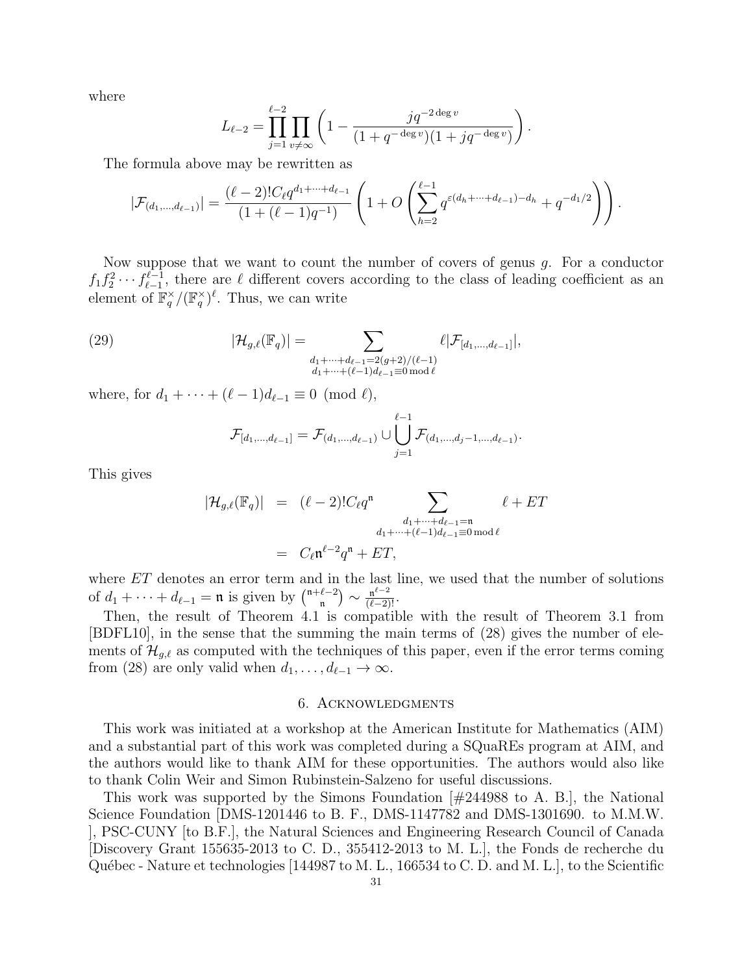where

$$
L_{\ell-2} = \prod_{j=1}^{\ell-2} \prod_{v \neq \infty} \left( 1 - \frac{jq^{-2 \deg v}}{(1 + q^{-\deg v})(1 + jq^{-\deg v})} \right).
$$

The formula above may be rewritten as

$$
|\mathcal{F}_{(d_1,\ldots,d_{\ell-1})}| = \frac{(\ell-2)!C_{\ell}q^{d_1+\cdots+d_{\ell-1}}}{(1+(\ell-1)q^{-1})}\left(1+O\left(\sum_{h=2}^{\ell-1}q^{\varepsilon(d_h+\cdots+d_{\ell-1})-d_h}+q^{-d_1/2}\right)\right).
$$

Now suppose that we want to count the number of covers of genus  $g$ . For a conductor  $f_1 f_2^2 \cdots f_{\ell-1}^{\ell-1}$  $\ell_{-1}^{l-1}$ , there are  $\ell$  different covers according to the class of leading coefficient as an element of  $\mathbb{F}_q^{\times}/(\mathbb{F}_q^{\times})^{\ell}$ . Thus, we can write

(29) 
$$
|\mathcal{H}_{g,\ell}(\mathbb{F}_q)| = \sum_{\substack{d_1 + \dots + d_{\ell-1} = 2(g+2)/(\ell-1) \\ d_1 + \dots + (\ell-1)d_{\ell-1} \equiv 0 \bmod \ell}} \ell |\mathcal{F}_{[d_1,\dots,d_{\ell-1}]}|,
$$

where, for  $d_1 + \cdots + (\ell - 1)d_{\ell-1} \equiv 0 \pmod{\ell}$ ,

$$
\mathcal{F}_{[d_1,...,d_{\ell-1}]} = \mathcal{F}_{(d_1,...,d_{\ell-1})} \cup \bigcup_{j=1}^{\ell-1} \mathcal{F}_{(d_1,...,d_j-1,...,d_{\ell-1})}.
$$

This gives

$$
|\mathcal{H}_{g,\ell}(\mathbb{F}_q)| = (\ell-2)!C_{\ell}q^{n} \sum_{\substack{d_1+\cdots+d_{\ell-1}=\mathfrak{n} \\ d_1+\cdots+(\ell-1)d_{\ell-1}\equiv 0 \bmod \ell}} \ell + ET
$$
  

$$
= C_{\ell}\mathfrak{n}^{\ell-2}q^{n} + ET,
$$

where ET denotes an error term and in the last line, we used that the number of solutions of  $d_1 + \cdots + d_{\ell-1} = \mathfrak{n}$  is given by  $\binom{\mathfrak{n}+\ell-2}{\mathfrak{n}}$  $\binom{\ell-2}{\mathfrak{n}} \sim \frac{\mathfrak{n}^{\ell-2}}{(\ell-2)!}.$ 

Then, the result of Theorem 4.1 is compatible with the result of Theorem 3.1 from [BDFL10], in the sense that the summing the main terms of (28) gives the number of elements of  $\mathcal{H}_{g,\ell}$  as computed with the techniques of this paper, even if the error terms coming from (28) are only valid when  $d_1, \ldots, d_{\ell-1} \to \infty$ .

#### 6. Acknowledgments

This work was initiated at a workshop at the American Institute for Mathematics (AIM) and a substantial part of this work was completed during a SQuaREs program at AIM, and the authors would like to thank AIM for these opportunities. The authors would also like to thank Colin Weir and Simon Rubinstein-Salzeno for useful discussions.

This work was supported by the Simons Foundation [#244988 to A. B.], the National Science Foundation [DMS-1201446 to B. F., DMS-1147782 and DMS-1301690. to M.M.W. ], PSC-CUNY [to B.F.], the Natural Sciences and Engineering Research Council of Canada [Discovery Grant 155635-2013 to C. D., 355412-2013 to M. L.], the Fonds de recherche du Québec - Nature et technologies  $[144987$  to M. L., 166534 to C. D. and M. L., to the Scientific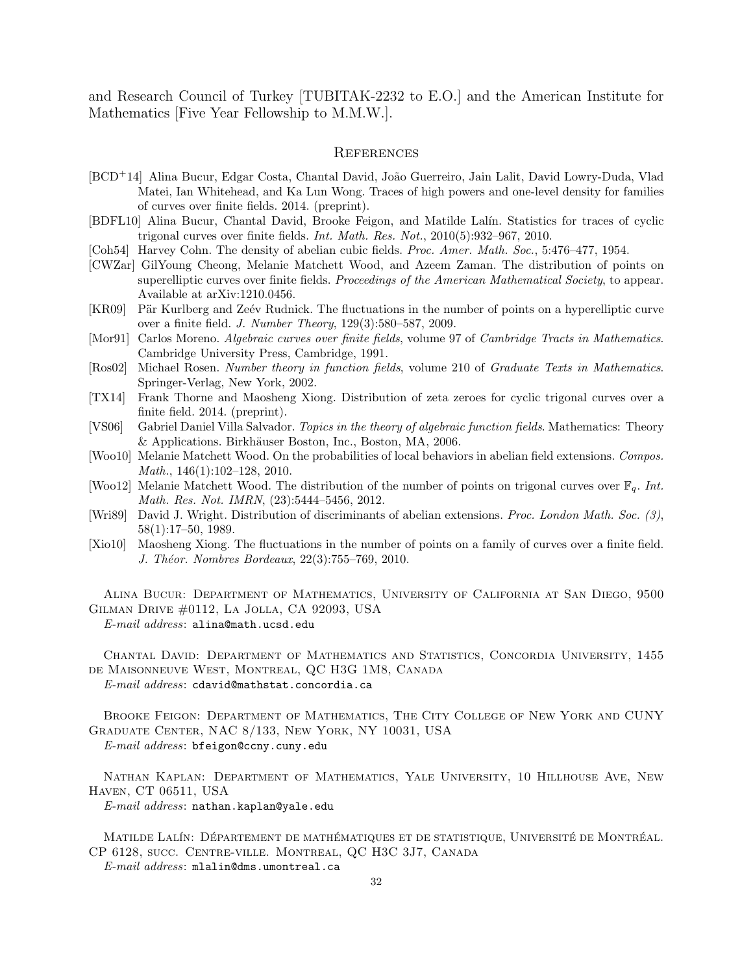and Research Council of Turkey [TUBITAK-2232 to E.O.] and the American Institute for Mathematics [Five Year Fellowship to M.M.W.].

#### **REFERENCES**

- [BCD<sup>+</sup>14] Alina Bucur, Edgar Costa, Chantal David, João Guerreiro, Jain Lalit, David Lowry-Duda, Vlad Matei, Ian Whitehead, and Ka Lun Wong. Traces of high powers and one-level density for families of curves over finite fields. 2014. (preprint).
- [BDFL10] Alina Bucur, Chantal David, Brooke Feigon, and Matilde Lalín. Statistics for traces of cyclic trigonal curves over finite fields. Int. Math. Res. Not., 2010(5):932–967, 2010.
- [Coh54] Harvey Cohn. The density of abelian cubic fields. Proc. Amer. Math. Soc., 5:476-477, 1954.
- [CWZar] GilYoung Cheong, Melanie Matchett Wood, and Azeem Zaman. The distribution of points on superelliptic curves over finite fields. *Proceedings of the American Mathematical Society*, to appear. Available at arXiv:1210.0456.
- [KR09] Pär Kurlberg and Zeév Rudnick. The fluctuations in the number of points on a hyperelliptic curve over a finite field. J. Number Theory, 129(3):580–587, 2009.
- [Mor91] Carlos Moreno. Algebraic curves over finite fields, volume 97 of Cambridge Tracts in Mathematics. Cambridge University Press, Cambridge, 1991.
- [Ros02] Michael Rosen. Number theory in function fields, volume 210 of Graduate Texts in Mathematics. Springer-Verlag, New York, 2002.
- [TX14] Frank Thorne and Maosheng Xiong. Distribution of zeta zeroes for cyclic trigonal curves over a finite field. 2014. (preprint).
- [VS06] Gabriel Daniel Villa Salvador. Topics in the theory of algebraic function fields. Mathematics: Theory & Applications. Birkhäuser Boston, Inc., Boston, MA, 2006.
- [Woo10] Melanie Matchett Wood. On the probabilities of local behaviors in abelian field extensions. Compos. Math., 146(1):102–128, 2010.
- [Woo12] Melanie Matchett Wood. The distribution of the number of points on trigonal curves over  $\mathbb{F}_q$ . Int. Math. Res. Not. IMRN, (23):5444–5456, 2012.
- [Wri89] David J. Wright. Distribution of discriminants of abelian extensions. Proc. London Math. Soc. (3), 58(1):17–50, 1989.
- [Xio10] Maosheng Xiong. The fluctuations in the number of points on a family of curves over a finite field. J. Théor. Nombres Bordeaux, 22(3):755–769, 2010.

Alina Bucur: Department of Mathematics, University of California at San Diego, 9500 Gilman Drive #0112, La Jolla, CA 92093, USA

E-mail address: alina@math.ucsd.edu

Chantal David: Department of Mathematics and Statistics, Concordia University, 1455 de Maisonneuve West, Montreal, QC H3G 1M8, Canada E-mail address: cdavid@mathstat.concordia.ca

Brooke Feigon: Department of Mathematics, The City College of New York and CUNY Graduate Center, NAC 8/133, New York, NY 10031, USA E-mail address: bfeigon@ccny.cuny.edu

Nathan Kaplan: Department of Mathematics, Yale University, 10 Hillhouse Ave, New Haven, CT 06511, USA

E-mail address: nathan.kaplan@yale.edu

MATILDE LALÍN: DÉPARTEMENT DE MATHÉMATIQUES ET DE STATISTIQUE, UNIVERSITÉ DE MONTRÉAL. CP 6128, succ. Centre-ville. Montreal, QC H3C 3J7, Canada

E-mail address: mlalin@dms.umontreal.ca